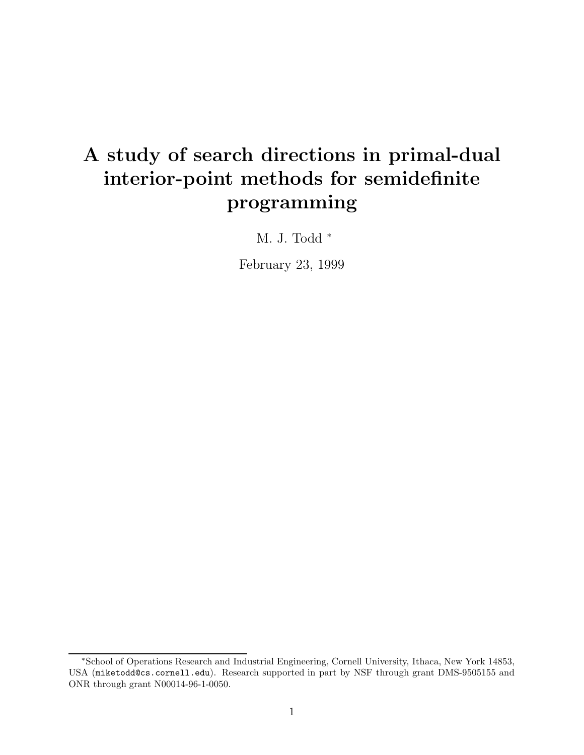# A study of search directions in primal-dual interior-point methods for semidefinite programming

M. J. Todd<sup>\*</sup>

February 23, 1999

<sup>∗</sup>School of Operations Research and Industrial Engineering, Cornell University, Ithaca, New York 14853, USA (miketodd@cs.cornell.edu). Research supported in part by NSF through grant DMS-9505155 and ONR through grant N00014-96-1-0050.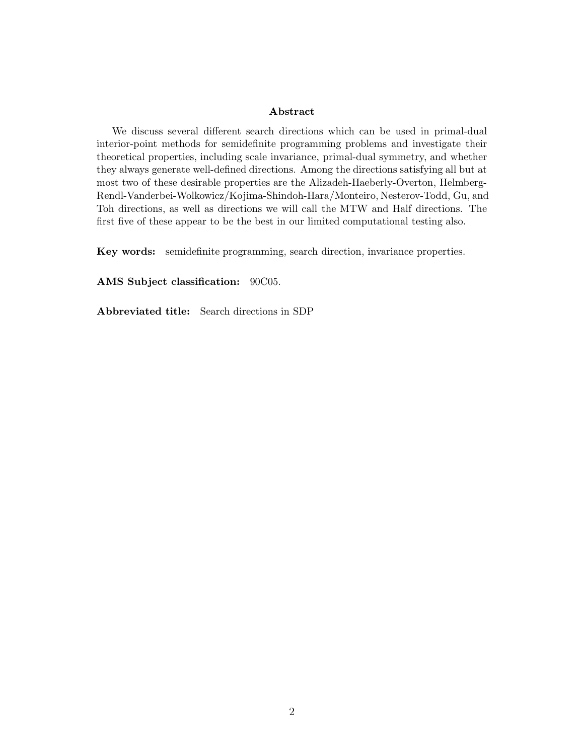#### Abstract

We discuss several different search directions which can be used in primal-dual interior-point methods for semidefinite programming problems and investigate their theoretical properties, including scale invariance, primal-dual symmetry, and whether they always generate well-defined directions. Among the directions satisfying all but at most two of these desirable properties are the Alizadeh-Haeberly-Overton, Helmberg-Rendl-Vanderbei-Wolkowicz/Kojima-Shindoh-Hara/Monteiro, Nesterov-Todd, Gu, and Toh directions, as well as directions we will call the MTW and Half directions. The first five of these appear to be the best in our limited computational testing also.

Key words: semidefinite programming, search direction, invariance properties.

AMS Subject classification: 90C05.

Abbreviated title: Search directions in SDP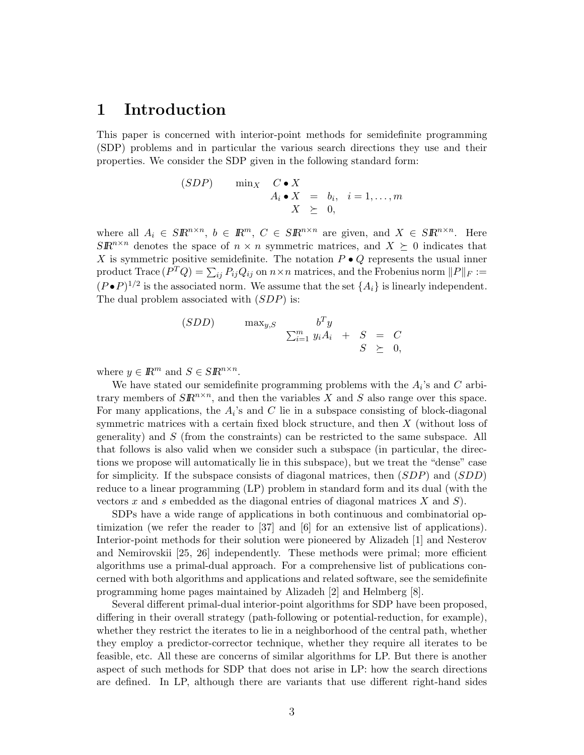### 1 Introduction

This paper is concerned with interior-point methods for semidefinite programming (SDP) problems and in particular the various search directions they use and their properties. We consider the SDP given in the following standard form:

$$
\begin{array}{rcl}\n(SDP) & \min_X & C \bullet X \\
A_i \bullet X & = & b_i, \quad i = 1, \dots, m \\
X & \geq & 0,\n\end{array}
$$

where all  $A_i \in \mathcal{S} \mathbb{R}^{n \times n}$ ,  $b \in \mathbb{R}^m$ ,  $C \in \mathcal{S} \mathbb{R}^{n \times n}$  are given, and  $X \in \mathcal{S} \mathbb{R}^{n \times n}$ . Here  $S\mathbb{R}^{n\times n}$  denotes the space of  $n \times n$  symmetric matrices, and  $X \succeq 0$  indicates that X is symmetric positive semidefinite. The notation  $P \bullet Q$  represents the usual inner  $\text{product Trace}(P^TQ) = \sum_{ij} P_{ij}Q_{ij} \text{ on } n \times n \text{ matrices, and the Frobenius norm } \|P\|_F :=$  $(P \cdot P)^{1/2}$  is the associated norm. We assume that the set  $\{A_i\}$  is linearly independent. The dual problem associated with  $(SDP)$  is:

$$
(SDD) \qquad \max_{y,S} \qquad \begin{array}{rcl} b^T y \\ \sum_{i=1}^m y_i A_i & + & S & = & C \\ S & \geq & 0, \end{array}
$$

where  $y \in \mathbb{R}^m$  and  $S \in \mathbb{S} \mathbb{R}^{n \times n}$ .

We have stated our semidefinite programming problems with the  $A_i$ 's and  $C$  arbitrary members of  $S\mathbb{R}^{n\times n}$ , and then the variables X and S also range over this space. For many applications, the  $A_i$ 's and C lie in a subspace consisting of block-diagonal symmetric matrices with a certain fixed block structure, and then X (without loss of generality) and S (from the constraints) can be restricted to the same subspace. All that follows is also valid when we consider such a subspace (in particular, the directions we propose will automatically lie in this subspace), but we treat the "dense" case for simplicity. If the subspace consists of diagonal matrices, then (SDP) and (SDD) reduce to a linear programming (LP) problem in standard form and its dual (with the vectors x and s embedded as the diagonal entries of diagonal matrices  $X$  and  $S$ ).

SDPs have a wide range of applications in both continuous and combinatorial optimization (we refer the reader to [37] and [6] for an extensive list of applications). Interior-point methods for their solution were pioneered by Alizadeh [1] and Nesterov and Nemirovskii [25, 26] independently. These methods were primal; more efficient algorithms use a primal-dual approach. For a comprehensive list of publications concerned with both algorithms and applications and related software, see the semidefinite programming home pages maintained by Alizadeh [2] and Helmberg [8].

Several different primal-dual interior-point algorithms for SDP have been proposed, differing in their overall strategy (path-following or potential-reduction, for example), whether they restrict the iterates to lie in a neighborhood of the central path, whether they employ a predictor-corrector technique, whether they require all iterates to be feasible, etc. All these are concerns of similar algorithms for LP. But there is another aspect of such methods for SDP that does not arise in LP: how the search directions are defined. In LP, although there are variants that use different right-hand sides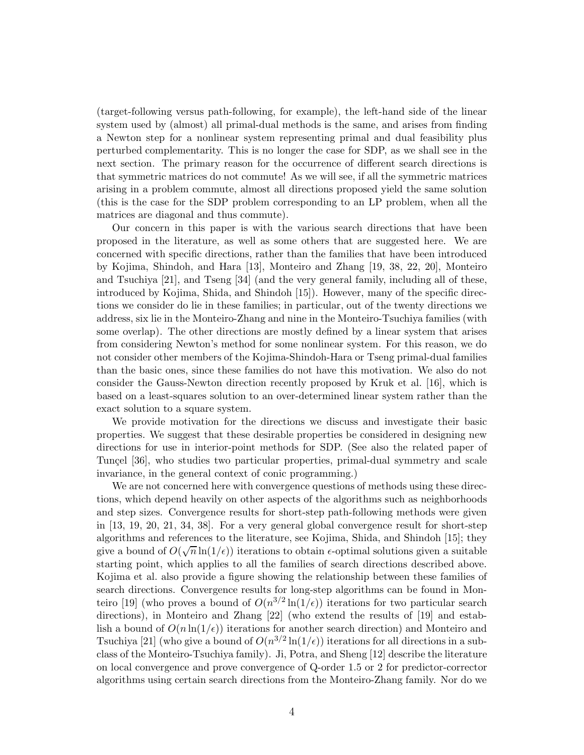(target-following versus path-following, for example), the left-hand side of the linear system used by (almost) all primal-dual methods is the same, and arises from finding a Newton step for a nonlinear system representing primal and dual feasibility plus perturbed complementarity. This is no longer the case for SDP, as we shall see in the next section. The primary reason for the occurrence of different search directions is that symmetric matrices do not commute! As we will see, if all the symmetric matrices arising in a problem commute, almost all directions proposed yield the same solution (this is the case for the SDP problem corresponding to an LP problem, when all the matrices are diagonal and thus commute).

Our concern in this paper is with the various search directions that have been proposed in the literature, as well as some others that are suggested here. We are concerned with specific directions, rather than the families that have been introduced by Kojima, Shindoh, and Hara [13], Monteiro and Zhang [19, 38, 22, 20], Monteiro and Tsuchiya [21], and Tseng [34] (and the very general family, including all of these, introduced by Kojima, Shida, and Shindoh [15]). However, many of the specific directions we consider do lie in these families; in particular, out of the twenty directions we address, six lie in the Monteiro-Zhang and nine in the Monteiro-Tsuchiya families (with some overlap). The other directions are mostly defined by a linear system that arises from considering Newton's method for some nonlinear system. For this reason, we do not consider other members of the Kojima-Shindoh-Hara or Tseng primal-dual families than the basic ones, since these families do not have this motivation. We also do not consider the Gauss-Newton direction recently proposed by Kruk et al. [16], which is based on a least-squares solution to an over-determined linear system rather than the exact solution to a square system.

We provide motivation for the directions we discuss and investigate their basic properties. We suggest that these desirable properties be considered in designing new directions for use in interior-point methods for SDP. (See also the related paper of Tunçel [36], who studies two particular properties, primal-dual symmetry and scale invariance, in the general context of conic programming.)

We are not concerned here with convergence questions of methods using these directions, which depend heavily on other aspects of the algorithms such as neighborhoods and step sizes. Convergence results for short-step path-following methods were given in [13, 19, 20, 21, 34, 38]. For a very general global convergence result for short-step algorithms and references to the literature, see Kojima, Shida, and Shindoh [15]; they give a bound of  $O(\sqrt{n}\ln(1/\epsilon))$  iterations to obtain  $\epsilon$ -optimal solutions given a suitable starting point, which applies to all the families of search directions described above. Kojima et al. also provide a figure showing the relationship between these families of search directions. Convergence results for long-step algorithms can be found in Monteiro [19] (who proves a bound of  $O(n^{3/2}\ln(1/\epsilon))$  iterations for two particular search directions), in Monteiro and Zhang [22] (who extend the results of [19] and establish a bound of  $O(n \ln(1/\epsilon))$  iterations for another search direction) and Monteiro and Tsuchiya [21] (who give a bound of  $O(n^{3/2}\ln(1/\epsilon))$  iterations for all directions in a subclass of the Monteiro-Tsuchiya family). Ji, Potra, and Sheng [12] describe the literature on local convergence and prove convergence of Q-order 1.5 or 2 for predictor-corrector algorithms using certain search directions from the Monteiro-Zhang family. Nor do we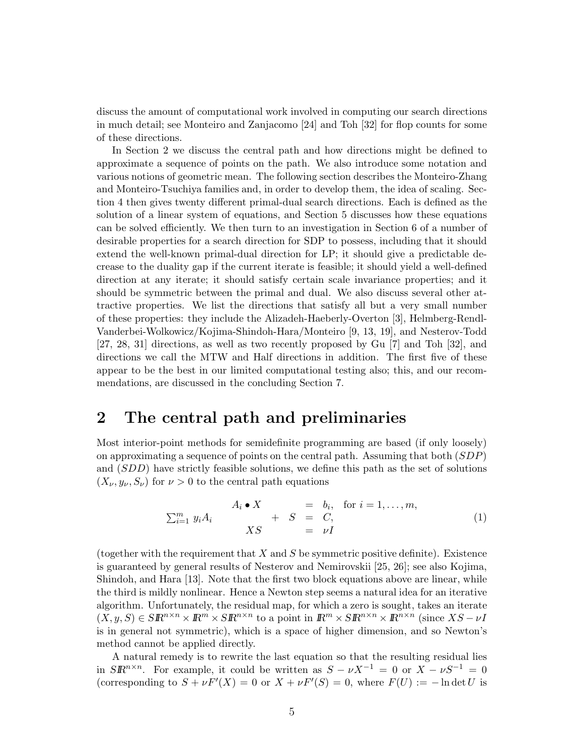discuss the amount of computational work involved in computing our search directions in much detail; see Monteiro and Zanjacomo [24] and Toh [32] for flop counts for some of these directions.

In Section 2 we discuss the central path and how directions might be defined to approximate a sequence of points on the path. We also introduce some notation and various notions of geometric mean. The following section describes the Monteiro-Zhang and Monteiro-Tsuchiya families and, in order to develop them, the idea of scaling. Section 4 then gives twenty different primal-dual search directions. Each is defined as the solution of a linear system of equations, and Section 5 discusses how these equations can be solved efficiently. We then turn to an investigation in Section 6 of a number of desirable properties for a search direction for SDP to possess, including that it should extend the well-known primal-dual direction for LP; it should give a predictable decrease to the duality gap if the current iterate is feasible; it should yield a well-defined direction at any iterate; it should satisfy certain scale invariance properties; and it should be symmetric between the primal and dual. We also discuss several other attractive properties. We list the directions that satisfy all but a very small number of these properties: they include the Alizadeh-Haeberly-Overton [3], Helmberg-Rendl-Vanderbei-Wolkowicz/Kojima-Shindoh-Hara/Monteiro [9, 13, 19], and Nesterov-Todd [27, 28, 31] directions, as well as two recently proposed by Gu [7] and Toh [32], and directions we call the MTW and Half directions in addition. The first five of these appear to be the best in our limited computational testing also; this, and our recommendations, are discussed in the concluding Section 7.

### 2 The central path and preliminaries

Most interior-point methods for semidefinite programming are based (if only loosely) on approximating a sequence of points on the central path. Assuming that both  $(SDP)$ and (SDD) have strictly feasible solutions, we define this path as the set of solutions  $(X_{\nu}, y_{\nu}, S_{\nu})$  for  $\nu > 0$  to the central path equations

$$
\sum_{i=1}^{m} y_i A_i \qquad \begin{array}{rcl} A_i \bullet X & = & b_i, \quad \text{for } i = 1, \dots, m, \\ + & S & = & C, \\ XS & = & \nu I \end{array} \tag{1}
$$

(together with the requirement that  $X$  and  $S$  be symmetric positive definite). Existence is guaranteed by general results of Nesterov and Nemirovskii [25, 26]; see also Kojima, Shindoh, and Hara [13]. Note that the first two block equations above are linear, while the third is mildly nonlinear. Hence a Newton step seems a natural idea for an iterative algorithm. Unfortunately, the residual map, for which a zero is sought, takes an iterate  $(X, y, S) \in \mathcal{S} \mathbb{R}^{n \times n} \times \mathbb{R}^{m} \times \mathcal{S} \mathbb{R}^{n \times n}$  to a point in  $\mathbb{R}^m \times \mathcal{S} \mathbb{R}^{n \times n} \times \mathbb{R}^{n \times n}$  (since  $XS - \nu I$ is in general not symmetric), which is a space of higher dimension, and so Newton's method cannot be applied directly.

A natural remedy is to rewrite the last equation so that the resulting residual lies in  $S\mathbb{R}^{n\times n}$ . For example, it could be written as  $S - \nu X^{-1} = 0$  or  $X - \nu S^{-1} = 0$ (corresponding to  $S + \nu F'(X) = 0$  or  $X + \nu F'(S) = 0$ , where  $F(U) := -\ln \det U$  is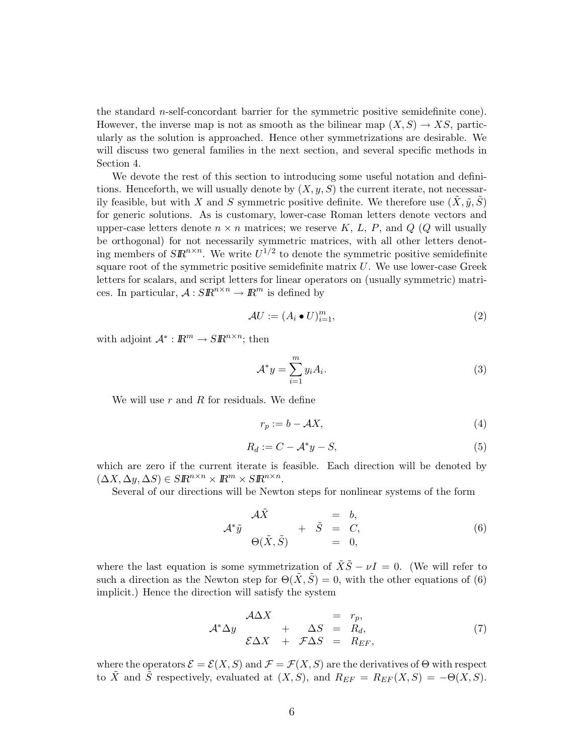the standard n-self-concordant barrier for the symmetric positive semidefinite cone). However, the inverse map is not as smooth as the bilinear map  $(X, S) \to XS$ , particularly as the solution is approached. Hence other symmetrizations are desirable. We will discuss two general families in the next section, and several specific methods in Section 4.

We devote the rest of this section to introducing some useful notation and definitions. Henceforth, we will usually denote by  $(X, y, S)$  the current iterate, not necessarily feasible, but with X and S symmetric positive definite. We therefore use  $(X, \tilde{y}, S)$ for generic solutions. As is customary, lower-case Roman letters denote vectors and upper-case letters denote  $n \times n$  matrices; we reserve K, L, P, and Q (Q will usually be orthogonal) for not necessarily symmetric matrices, with all other letters denoting members of  $S\mathbb{R}^{n\times n}$ . We write  $U^{1/2}$  to denote the symmetric positive semidefinite square root of the symmetric positive semidefinite matrix  $U$ . We use lower-case Greek letters for scalars, and script letters for linear operators on (usually symmetric) matrices. In particular,  $A: SR^{n \times n} \to \mathbb{R}^m$  is defined by

$$
\mathcal{A}U := (A_i \bullet U)_{i=1}^m,\tag{2}
$$

with adjoint  $\mathcal{A}^* : \mathbb{R}^m \to \mathbb{S} \mathbb{R}^{n \times n}$ ; then

$$
\mathcal{A}^* y = \sum_{i=1}^m y_i A_i.
$$
 (3)

We will use  $r$  and  $R$  for residuals. We define

$$
r_p := b - \mathcal{A}X,\tag{4}
$$

$$
R_d := C - \mathcal{A}^* y - S,\tag{5}
$$

which are zero if the current iterate is feasible. Each direction will be denoted by  $(\Delta X, \Delta y, \Delta S) \in \mathcal{S} \mathbb{R}^{n \times n} \times \mathbb{R}^m \times \mathcal{S} \mathbb{R}^{n \times n}.$ 

Several of our directions will be Newton steps for nonlinear systems of the form

$$
\mathcal{A}^*\tilde{y} = b,
$$
  
\n
$$
\mathcal{A}^*\tilde{y} + \tilde{S} = C,
$$
  
\n
$$
\Theta(\tilde{X}, \tilde{S}) + \tilde{S} = 0,
$$
  
\n(6)

where the last equation is some symmetrization of  $\tilde{X}\tilde{S} - \nu I = 0$ . (We will refer to such a direction as the Newton step for  $\Theta(\tilde{X}, \tilde{S}) = 0$ , with the other equations of (6) implicit.) Hence the direction will satisfy the system

$$
\mathcal{A}^*\Delta y = r_p, \n\mathcal{E}\Delta X + \Delta S = R_d, \n\mathcal{E}\Delta X + \mathcal{F}\Delta S = R_{EF},
$$
\n(7)

where the operators  $\mathcal{E} = \mathcal{E}(X, S)$  and  $\mathcal{F} = \mathcal{F}(X, S)$  are the derivatives of  $\Theta$  with respect to X and S respectively, evaluated at  $(X, S)$ , and  $R_{EF} = R_{EF}(X, S) = -\Theta(X, S)$ .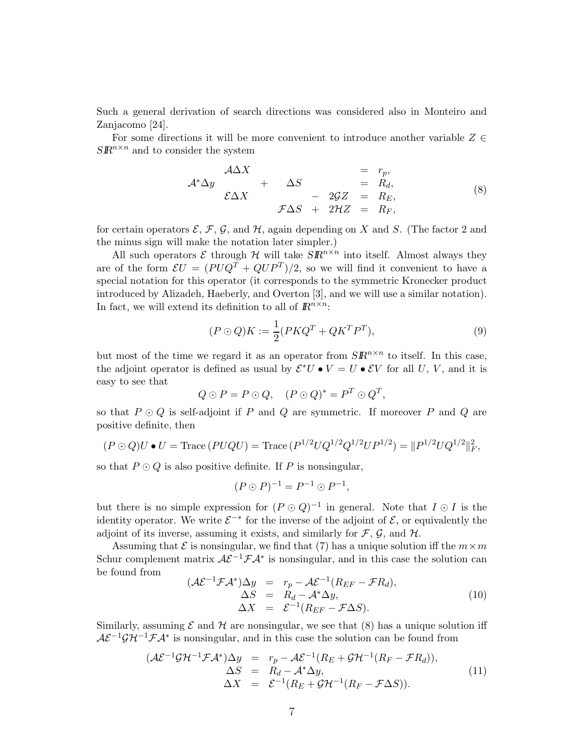Such a general derivation of search directions was considered also in Monteiro and Zanjacomo [24].

For some directions it will be more convenient to introduce another variable  $Z \in \mathcal{Z}$  $S\mathbb{R}^{n\times n}$  and to consider the system

$$
\mathcal{A}^*\Delta y \quad + \quad \Delta S \quad = \quad r_p, \n\mathcal{E}\Delta X \quad + \quad \Delta S \quad = \quad R_d, \n\mathcal{F}\Delta S \quad + \quad 2\mathcal{G}Z \quad = \quad R_E, \n\mathcal{F}\Delta S \quad + \quad 2\mathcal{H}Z \quad = \quad R_F,
$$
\n(8)

for certain operators  $\mathcal{E}, \mathcal{F}, \mathcal{G}$ , and  $\mathcal{H}$ , again depending on X and S. (The factor 2 and the minus sign will make the notation later simpler.)

All such operators  $\mathcal E$  through  $\mathcal H$  will take  $\overline{SR}^{n\times n}$  into itself. Almost always they are of the form  $\mathcal{E}U = (PUQ^T + QUP^T)/2$ , so we will find it convenient to have a special notation for this operator (it corresponds to the symmetric Kronecker product introduced by Alizadeh, Haeberly, and Overton [3], and we will use a similar notation). In fact, we will extend its definition to all of  $\mathbb{R}^{n \times n}$ :

$$
(P \odot Q)K := \frac{1}{2}(PKQ^T + QK^TP^T),\tag{9}
$$

but most of the time we regard it as an operator from  $S\mathbb{R}^{n\times n}$  to itself. In this case, the adjoint operator is defined as usual by  $\mathcal{E}^*U \bullet V = U \bullet \mathcal{E}V$  for all U, V, and it is easy to see that

$$
Q \odot P = P \odot Q, \quad (P \odot Q)^* = P^T \odot Q^T,
$$

so that  $P \odot Q$  is self-adjoint if P and Q are symmetric. If moreover P and Q are positive definite, then

$$
(P \odot Q)U \bullet U = \text{Trace}(PUQU) = \text{Trace}(P^{1/2}UQ^{1/2}Q^{1/2}UP^{1/2}) = ||P^{1/2}UQ^{1/2}||_F^2,
$$

so that  $P \odot Q$  is also positive definite. If P is nonsingular,

$$
(P \odot P)^{-1} = P^{-1} \odot P^{-1},
$$

but there is no simple expression for  $(P \odot Q)^{-1}$  in general. Note that  $I \odot I$  is the identity operator. We write  $\mathcal{E}^{-*}$  for the inverse of the adjoint of  $\mathcal{E}$ , or equivalently the adjoint of its inverse, assuming it exists, and similarly for  $\mathcal{F}, \mathcal{G}$ , and  $\mathcal{H}$ .

Assuming that  $\mathcal E$  is nonsingular, we find that (7) has a unique solution iff the  $m \times m$ Schur complement matrix  $\mathcal{A}\mathcal{E}^{-1}\mathcal{F}\mathcal{A}^*$  is nonsingular, and in this case the solution can be found from

$$
(\mathcal{A}\mathcal{E}^{-1}\mathcal{F}\mathcal{A}^*)\Delta y = r_p - \mathcal{A}\mathcal{E}^{-1}(R_{EF} - \mathcal{F}R_d),
$$
  
\n
$$
\Delta S = R_d - \mathcal{A}^*\Delta y,
$$
  
\n
$$
\Delta X = \mathcal{E}^{-1}(R_{EF} - \mathcal{F}\Delta S).
$$
\n(10)

Similarly, assuming  $\mathcal E$  and  $\mathcal H$  are nonsingular, we see that (8) has a unique solution iff  $\mathcal{A}\mathcal{E}^{-1}\mathcal{GH}^{-1}\mathcal{FA}^*$  is nonsingular, and in this case the solution can be found from

$$
(\mathcal{A}\mathcal{E}^{-1}\mathcal{G}\mathcal{H}^{-1}\mathcal{F}\mathcal{A}^*)\Delta y = r_p - \mathcal{A}\mathcal{E}^{-1}(R_E + \mathcal{G}\mathcal{H}^{-1}(R_F - \mathcal{F}R_d)),
$$
  
\n
$$
\Delta S = R_d - \mathcal{A}^*\Delta y,
$$
  
\n
$$
\Delta X = \mathcal{E}^{-1}(R_E + \mathcal{G}\mathcal{H}^{-1}(R_F - \mathcal{F}\Delta S)).
$$
\n(11)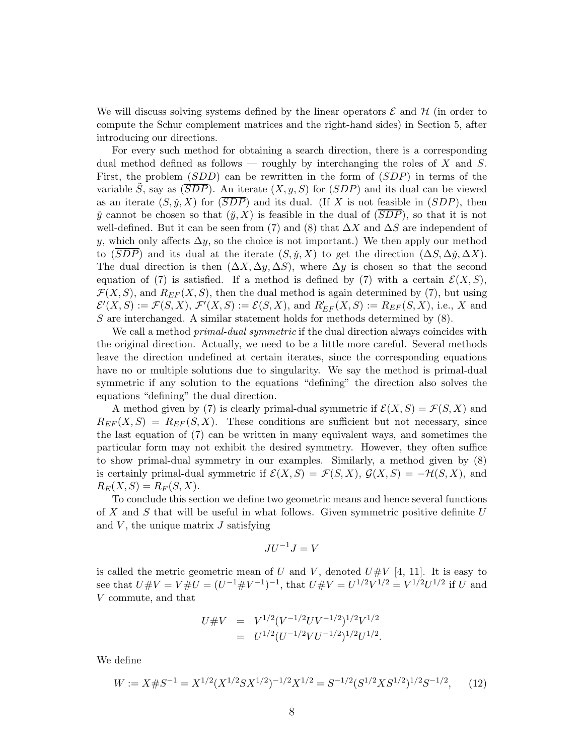We will discuss solving systems defined by the linear operators  $\mathcal E$  and  $\mathcal H$  (in order to compute the Schur complement matrices and the right-hand sides) in Section 5, after introducing our directions.

For every such method for obtaining a search direction, there is a corresponding dual method defined as follows — roughly by interchanging the roles of X and S. First, the problem (SDD) can be rewritten in the form of (SDP) in terms of the variable  $\tilde{S}$ , say as  $(\overline{SDP})$ . An iterate  $(X, y, S)$  for  $(SDP)$  and its dual can be viewed as an iterate  $(S, \tilde{y}, X)$  for  $(\overline{SDP})$  and its dual. (If X is not feasible in  $(SDP)$ , then y cannot be chosen so that  $(y, X)$  is feasible in the dual of  $(\overline{SDP})$ , so that it is not well-defined. But it can be seen from (7) and (8) that  $\Delta X$  and  $\Delta S$  are independent of y, which only affects  $\Delta y$ , so the choice is not important.) We then apply our method to (SDP) and its dual at the iterate  $(S, \check{y}, X)$  to get the direction  $(\Delta S, \Delta \check{y}, \Delta X)$ . The dual direction is then  $(\Delta X, \Delta y, \Delta S)$ , where  $\Delta y$  is chosen so that the second equation of (7) is satisfied. If a method is defined by (7) with a certain  $\mathcal{E}(X, S)$ ,  $\mathcal{F}(X, S)$ , and  $R_{EF}(X, S)$ , then the dual method is again determined by (7), but using  $\mathcal{E}'(X, S) := \mathcal{F}(S, X), \, \mathcal{F}'(X, S) := \mathcal{E}(S, X), \text{ and } R'_{EF}(X, S) := R_{EF}(S, X), \text{ i.e., } X \text{ and }$ S are interchanged. A similar statement holds for methods determined by  $(8)$ .

We call a method *primal-dual symmetric* if the dual direction always coincides with the original direction. Actually, we need to be a little more careful. Several methods leave the direction undefined at certain iterates, since the corresponding equations have no or multiple solutions due to singularity. We say the method is primal-dual symmetric if any solution to the equations "defining" the direction also solves the equations "defining" the dual direction.

A method given by (7) is clearly primal-dual symmetric if  $\mathcal{E}(X, S) = \mathcal{F}(S, X)$  and  $R_{EF}(X, S) = R_{EF}(S, X)$ . These conditions are sufficient but not necessary, since the last equation of (7) can be written in many equivalent ways, and sometimes the particular form may not exhibit the desired symmetry. However, they often suffice to show primal-dual symmetry in our examples. Similarly, a method given by (8) is certainly primal-dual symmetric if  $\mathcal{E}(X, S) = \mathcal{F}(S, X), \mathcal{G}(X, S) = -\mathcal{H}(S, X),$  and  $R_E(X, S) = R_F(S, X).$ 

To conclude this section we define two geometric means and hence several functions of X and S that will be useful in what follows. Given symmetric positive definite  $U$ and  $V$ , the unique matrix  $J$  satisfying

$$
JU^{-1}J=V
$$

is called the metric geometric mean of U and V, denoted  $U\#V$  [4, 11]. It is easy to see that  $U \# V = V \# U = (U^{-1} \# V^{-1})^{-1}$ , that  $U \# V = U^{1/2} V^{1/2} = V^{1/2} U^{1/2}$  if U and V commute, and that

$$
U\#V = V^{1/2}(V^{-1/2}UV^{-1/2})^{1/2}V^{1/2}
$$
  
= 
$$
U^{1/2}(U^{-1/2}VU^{-1/2})^{1/2}U^{1/2}.
$$

We define

$$
W := X \# S^{-1} = X^{1/2} (X^{1/2} S X^{1/2})^{-1/2} X^{1/2} = S^{-1/2} (S^{1/2} X S^{1/2})^{1/2} S^{-1/2}, \tag{12}
$$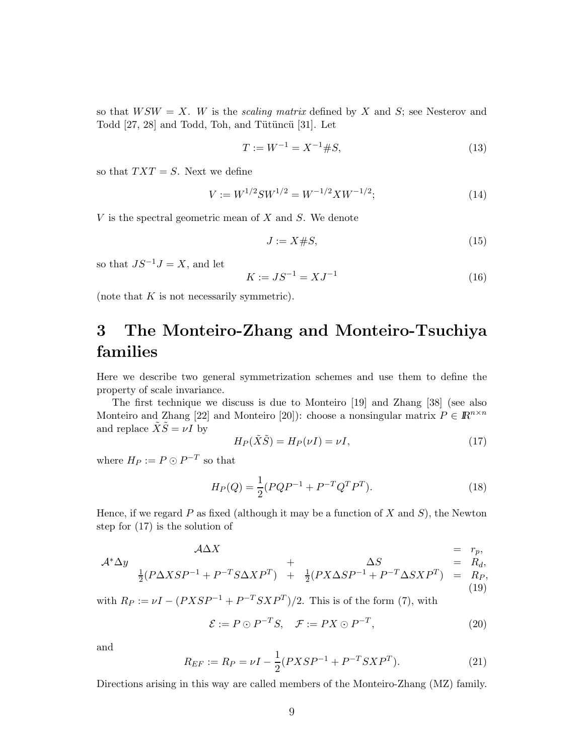so that  $WSW = X$ . W is the scaling matrix defined by X and S; see Nesterov and Todd  $[27, 28]$  and Todd, Toh, and Tütüncü  $[31]$ . Let

$$
T := W^{-1} = X^{-1} \# S,\tag{13}
$$

so that  $TXT = S$ . Next we define

$$
V := W^{1/2}SW^{1/2} = W^{-1/2}XW^{-1/2};
$$
\n(14)

 $V$  is the spectral geometric mean of  $X$  and  $S$ . We denote

$$
J := X \# S,\tag{15}
$$

so that  $JS^{-1}J = X$ , and let

$$
K := JS^{-1} = XJ^{-1}
$$
\n(16)

(note that  $K$  is not necessarily symmetric).

# 3 The Monteiro-Zhang and Monteiro-Tsuchiya families

Here we describe two general symmetrization schemes and use them to define the property of scale invariance.

The first technique we discuss is due to Monteiro [19] and Zhang [38] (see also Monteiro and Zhang [22] and Monteiro [20]): choose a nonsingular matrix  $P \in \mathbb{R}^{n \times n}$ and replace  $\tilde{X}\tilde{S} = \nu I$  by

$$
H_P(\tilde{X}\tilde{S}) = H_P(\nu I) = \nu I,\tag{17}
$$

where  $H_P := P \odot P^{-T}$  so that

$$
H_P(Q) = \frac{1}{2}(PQP^{-1} + P^{-T}Q^T P^T). \tag{18}
$$

Hence, if we regard  $P$  as fixed (although it may be a function of  $X$  and  $S$ ), the Newton step for (17) is the solution of

$$
\mathcal{A}\Delta X = r_p,
$$
  
\n
$$
\Delta X = r_p,
$$
  
\n
$$
\frac{1}{2}(P\Delta XSP^{-1} + P^{-T}S\Delta XP^{T}) + \frac{1}{2}(PX\Delta SP^{-1} + P^{-T}\Delta SXP^{T}) = R_p,
$$

$$
(19)
$$

with  $R_P := \nu I - (PXSP^{-1} + P^{-T}SXP^{T})/2$ . This is of the form (7), with

$$
\mathcal{E} := P \odot P^{-T} S, \quad \mathcal{F} := PX \odot P^{-T}, \tag{20}
$$

and

$$
R_{EF} := R_P = \nu I - \frac{1}{2}(PXSP^{-1} + P^{-T}SXP^T). \tag{21}
$$

Directions arising in this way are called members of the Monteiro-Zhang (MZ) family.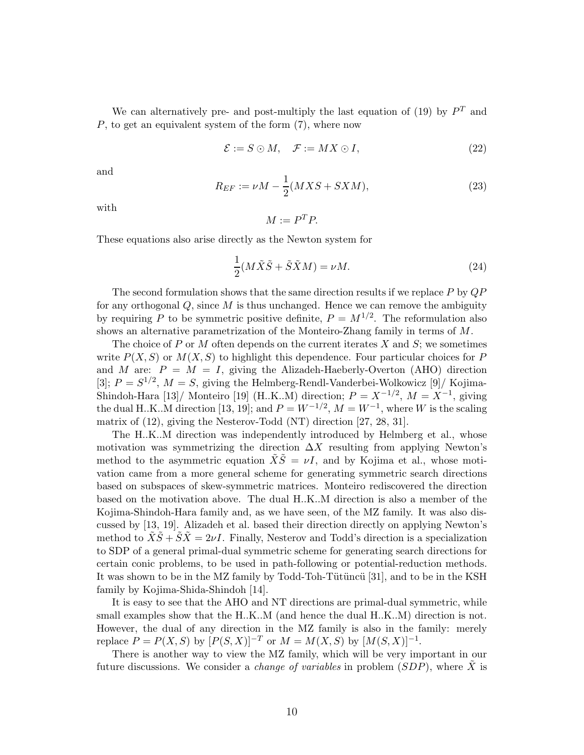We can alternatively pre- and post-multiply the last equation of (19) by  $P<sup>T</sup>$  and P, to get an equivalent system of the form (7), where now

$$
\mathcal{E} := S \odot M, \quad \mathcal{F} := MX \odot I,\tag{22}
$$

and

$$
R_{EF} := \nu M - \frac{1}{2}(MXS + SXM),\tag{23}
$$

with

$$
M := P^T P.
$$

These equations also arise directly as the Newton system for

$$
\frac{1}{2}(M\tilde{X}\tilde{S} + \tilde{S}\tilde{X}M) = \nu M.
$$
 (24)

The second formulation shows that the same direction results if we replace  $P$  by  $QP$ for any orthogonal  $Q$ , since  $M$  is thus unchanged. Hence we can remove the ambiguity by requiring P to be symmetric positive definite,  $P = M^{1/2}$ . The reformulation also shows an alternative parametrization of the Monteiro-Zhang family in terms of M.

The choice of P or M often depends on the current iterates X and  $S$ ; we sometimes write  $P(X, S)$  or  $M(X, S)$  to highlight this dependence. Four particular choices for P and M are:  $P = M = I$ , giving the Alizadeh-Haeberly-Overton (AHO) direction [3];  $P = S^{1/2}$ ,  $M = S$ , giving the Helmberg-Rendl-Vanderbei-Wolkowicz [9]/ Kojima-Shindoh-Hara [13]/ Monteiro [19] (H.K.M) direction;  $P = X^{-1/2}$ ,  $M = X^{-1}$ , giving the dual H.K..M direction [13, 19]; and  $P = W^{-1/2}$ ,  $M = W^{-1}$ , where W is the scaling matrix of (12), giving the Nesterov-Todd (NT) direction [27, 28, 31].

The H..K..M direction was independently introduced by Helmberg et al., whose motivation was symmetrizing the direction  $\Delta X$  resulting from applying Newton's method to the asymmetric equation  $\tilde{X}\tilde{S} = \nu I$ , and by Kojima et al., whose motivation came from a more general scheme for generating symmetric search directions based on subspaces of skew-symmetric matrices. Monteiro rediscovered the direction based on the motivation above. The dual H..K..M direction is also a member of the Kojima-Shindoh-Hara family and, as we have seen, of the MZ family. It was also discussed by [13, 19]. Alizadeh et al. based their direction directly on applying Newton's method to  $XS + SX = 2\nu I$ . Finally, Nesterov and Todd's direction is a specialization to SDP of a general primal-dual symmetric scheme for generating search directions for certain conic problems, to be used in path-following or potential-reduction methods. It was shown to be in the MZ family by Todd-Toh-Tütüncü [31], and to be in the KSH family by Kojima-Shida-Shindoh [14].

It is easy to see that the AHO and NT directions are primal-dual symmetric, while small examples show that the H.K..M (and hence the dual H.K..M) direction is not. However, the dual of any direction in the MZ family is also in the family: merely replace  $P = P(X, S)$  by  $[P(S, X)]^{-T}$  or  $M = M(X, S)$  by  $[M(S, X)]^{-1}$ .

There is another way to view the MZ family, which will be very important in our future discussions. We consider a *change of variables* in problem  $(SDP)$ , where  $\tilde{X}$  is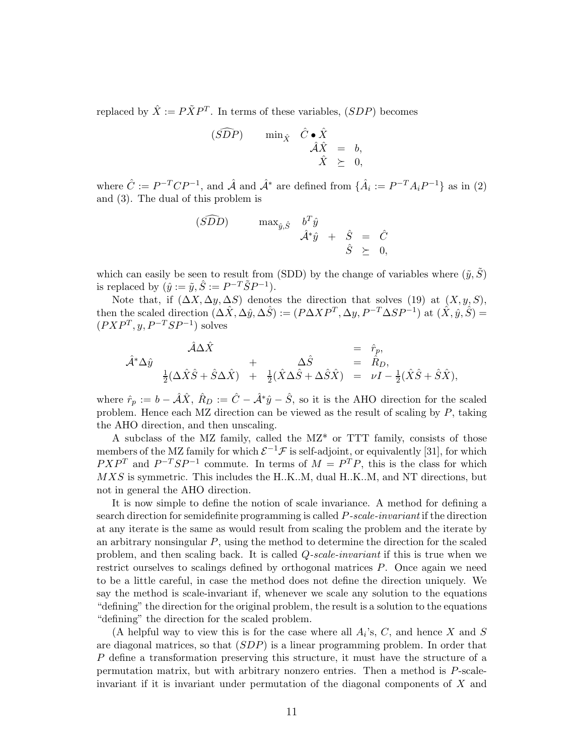replaced by  $\hat{X} := P\tilde{X}P^{T}$ . In terms of these variables,  $(SDP)$  becomes

$$
\begin{array}{rcl}\n(\widehat{SDP}) & \min_{\hat{X}} & \hat{C} \bullet \hat{X} \\
\hat{A}\hat{X} & = & b, \\
\hat{X} & \succeq & 0,\n\end{array}
$$

where  $\hat{C} := P^{-T}CP^{-1}$ , and  $\hat{\mathcal{A}}$  and  $\hat{\mathcal{A}}^*$  are defined from  $\{\hat{A}_i := P^{-T}A_iP^{-1}\}\$ as in (2) and (3). The dual of this problem is

$$
\begin{array}{rcl}\n(\widehat{SDD}) & \max_{\hat{y}, \hat{S}} & b^T \hat{y} \\
\hat{\mathcal{A}}^* \hat{y} & + & \hat{S} & = & \hat{C} \\
\hat{S} & \geq & 0\n\end{array}
$$

which can easily be seen to result from (SDD) by the change of variables where  $(\tilde{y}, \tilde{S})$ is replaced by  $(\hat{y} := \tilde{y}, \hat{S} := P^{-T} \tilde{S} P^{-1}).$ 

Note that, if  $(\Delta X, \Delta y, \Delta S)$  denotes the direction that solves (19) at  $(X, y, S)$ , then the scaled direction  $(\Delta \hat{X}, \Delta \hat{y}, \Delta \hat{S}) := (P \Delta X P^{T}, \Delta y, P^{-T} \Delta S P^{-1})$  at  $(\hat{X}, \hat{y}, \hat{S}) =$  $(PXP^T, y, P^{-T}SP^{-1})$  solves

$$
\hat{\mathcal{A}}^*\Delta \hat{y} = \hat{r}_p, \n\hat{\mathcal{A}}^*\Delta \hat{y} + \Delta \hat{S} = \hat{R}_D, \n\frac{1}{2}(\Delta \hat{X}\hat{S} + \hat{S}\Delta \hat{X}) + \frac{1}{2}(\hat{X}\Delta \hat{S} + \Delta \hat{S}\hat{X}) = \nu I - \frac{1}{2}(\hat{X}\hat{S} + \hat{S}\hat{X}),
$$

where  $\hat{r}_p := b - \hat{\mathcal{A}} \hat{X}$ ,  $\hat{R}_D := \hat{C} - \hat{\mathcal{A}}^* \hat{y} - \hat{S}$ , so it is the AHO direction for the scaled problem. Hence each MZ direction can be viewed as the result of scaling by P, taking the AHO direction, and then unscaling.

A subclass of the MZ family, called the MZ\* or TTT family, consists of those members of the MZ family for which  $\mathcal{E}^{-1}\mathcal{F}$  is self-adjoint, or equivalently [31], for which  $PXP^{T}$  and  $P^{-T}SP^{-1}$  commute. In terms of  $M = P^{T}P$ , this is the class for which MXS is symmetric. This includes the H.K..M, dual H.K..M, and NT directions, but not in general the AHO direction.

It is now simple to define the notion of scale invariance. A method for defining a search direction for semidefinite programming is called P-scale-invariant if the direction at any iterate is the same as would result from scaling the problem and the iterate by an arbitrary nonsingular P, using the method to determine the direction for the scaled problem, and then scaling back. It is called Q-scale-invariant if this is true when we restrict ourselves to scalings defined by orthogonal matrices P. Once again we need to be a little careful, in case the method does not define the direction uniquely. We say the method is scale-invariant if, whenever we scale any solution to the equations "defining" the direction for the original problem, the result is a solution to the equations "defining" the direction for the scaled problem.

(A helpful way to view this is for the case where all  $A_i$ 's, C, and hence X and S are diagonal matrices, so that (SDP) is a linear programming problem. In order that P define a transformation preserving this structure, it must have the structure of a permutation matrix, but with arbitrary nonzero entries. Then a method is P-scaleinvariant if it is invariant under permutation of the diagonal components of X and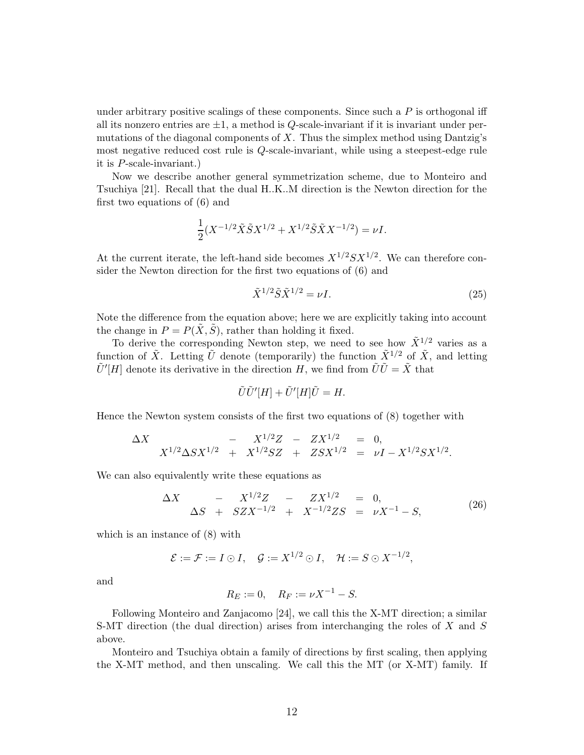under arbitrary positive scalings of these components. Since such a  $P$  is orthogonal iff all its nonzero entries are  $\pm 1$ , a method is Q-scale-invariant if it is invariant under permutations of the diagonal components of  $X$ . Thus the simplex method using Dantzig's most negative reduced cost rule is Q-scale-invariant, while using a steepest-edge rule it is P-scale-invariant.)

Now we describe another general symmetrization scheme, due to Monteiro and Tsuchiya [21]. Recall that the dual H..K..M direction is the Newton direction for the first two equations of (6) and

$$
\frac{1}{2}(X^{-1/2}\tilde{X}\tilde{S}X^{1/2} + X^{1/2}\tilde{S}\tilde{X}X^{-1/2}) = \nu I.
$$

At the current iterate, the left-hand side becomes  $X^{1/2}SX^{1/2}$ . We can therefore consider the Newton direction for the first two equations of (6) and

$$
\tilde{X}^{1/2}\tilde{S}\tilde{X}^{1/2} = \nu I.
$$
\n
$$
(25)
$$

Note the difference from the equation above; here we are explicitly taking into account the change in  $P = P(\tilde{X}, \tilde{S})$ , rather than holding it fixed.

To derive the corresponding Newton step, we need to see how  $\tilde{X}^{1/2}$  varies as a function of  $\tilde{X}$ . Letting  $\tilde{U}$  denote (temporarily) the function  $\tilde{X}^{1/2}$  of  $\tilde{X}$ , and letting  $\tilde{U}'[H]$  denote its derivative in the direction H, we find from  $\tilde{U}\tilde{U} = \tilde{X}$  that

$$
\tilde{U}\tilde{U}'[H] + \tilde{U}'[H]\tilde{U} = H.
$$

Hence the Newton system consists of the first two equations of (8) together with

$$
\Delta X = X^{1/2} \Delta S X^{1/2} + X^{1/2} S Z + Z S X^{1/2} = 0,
$$
  

$$
X^{1/2} \Delta S X^{1/2} + X^{1/2} S Z + Z S X^{1/2} = \nu I - X^{1/2} S X^{1/2}.
$$

We can also equivalently write these equations as

$$
\Delta X \quad - X^{1/2}Z \quad - ZX^{1/2} \quad = 0, \n\Delta S \quad + \quad SZX^{-1/2} \quad + \quad X^{-1/2}ZS \quad = \quad \nu X^{-1} - S,
$$
\n(26)

which is an instance of (8) with

$$
\mathcal{E} := \mathcal{F} := I \odot I, \quad \mathcal{G} := X^{1/2} \odot I, \quad \mathcal{H} := S \odot X^{-1/2},
$$

and

$$
R_E := 0
$$
,  $R_F := \nu X^{-1} - S$ .

Following Monteiro and Zanjacomo [24], we call this the X-MT direction; a similar S-MT direction (the dual direction) arises from interchanging the roles of X and S above.

Monteiro and Tsuchiya obtain a family of directions by first scaling, then applying the X-MT method, and then unscaling. We call this the MT (or X-MT) family. If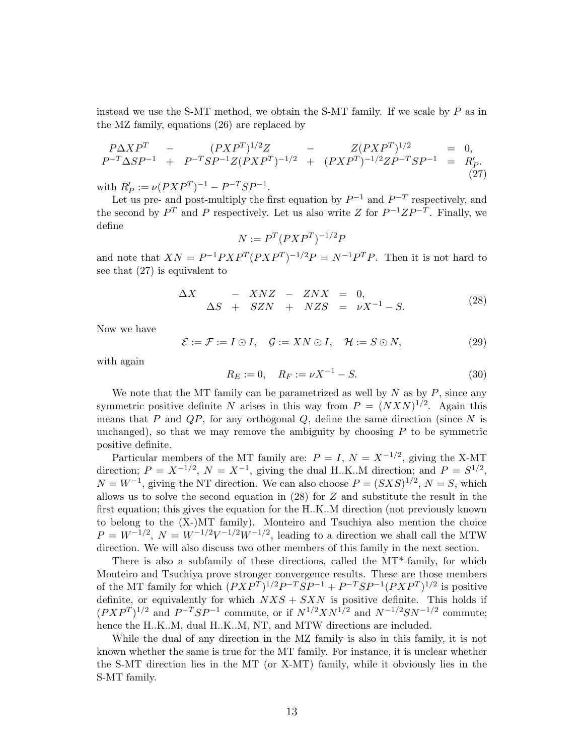instead we use the S-MT method, we obtain the S-MT family. If we scale by  $P$  as in the MZ family, equations (26) are replaced by

$$
P\Delta XP^T - (PXP^T)^{1/2}Z - Z(PXP^T)^{1/2} = 0,
$$
  
\n
$$
P^{-T}\Delta SP^{-1} + P^{-T}SP^{-1}Z(PXP^T)^{-1/2} + (PXP^T)^{-1/2}ZP^{-T}SP^{-1} = R'_P.
$$
\n(27)

with  $R'_P := \nu(PXP^T)^{-1} - P^{-T}SP^{-1}$ .

Let us pre- and post-multiply the first equation by  $P^{-1}$  and  $P^{-T}$  respectively, and the second by  $P^T$  and P respectively. Let us also write Z for  $P^{-1}ZP^{-T}$ . Finally, we define

$$
N := P^T (P X P^T)^{-1/2} P
$$

and note that  $XN = P^{-1}PXP^{T}(PXP^{T})^{-1/2}P = N^{-1}P^{T}P$ . Then it is not hard to see that (27) is equivalent to

$$
\Delta X \quad - \quad XNZ \quad - \quad ZNX \quad = \quad 0, \n\Delta S \quad + \quad SZN \quad + \quad NZS \quad = \quad \nu X^{-1} - S. \tag{28}
$$

Now we have

$$
\mathcal{E} := \mathcal{F} := I \odot I, \quad \mathcal{G} := XN \odot I, \quad \mathcal{H} := S \odot N,
$$
\n(29)

with again

$$
R_E := 0, \quad R_F := \nu X^{-1} - S. \tag{30}
$$

We note that the MT family can be parametrized as well by  $N$  as by  $P$ , since any symmetric positive definite N arises in this way from  $P = (NXN)^{1/2}$ . Again this means that  $P$  and  $QP$ , for any orthogonal  $Q$ , define the same direction (since  $N$  is unchanged), so that we may remove the ambiguity by choosing  $P$  to be symmetric positive definite.

Particular members of the MT family are:  $P = I$ ,  $N = X^{-1/2}$ , giving the X-MT direction;  $P = X^{-1/2}$ ,  $N = X^{-1}$ , giving the dual H.K..M direction; and  $P = S^{1/2}$ ,  $N = W^{-1}$ , giving the NT direction. We can also choose  $P = (SXS)^{1/2}$ ,  $N = S$ , which allows us to solve the second equation in  $(28)$  for  $Z$  and substitute the result in the first equation; this gives the equation for the H..K..M direction (not previously known to belong to the (X-)MT family). Monteiro and Tsuchiya also mention the choice  $P = W^{-1/2}$ ,  $N = W^{-1/2}V^{-1/2}W^{-1/2}$ , leading to a direction we shall call the MTW direction. We will also discuss two other members of this family in the next section.

There is also a subfamily of these directions, called the MT\*-family, for which Monteiro and Tsuchiya prove stronger convergence results. These are those members of the MT family for which  $(PXP^T)^{1/2}P^{-T}SP^{-1} + P^{-T}SP^{-1}(PXP^T)^{1/2}$  is positive definite, or equivalently for which  $NXS + SXN$  is positive definite. This holds if  $(PXP^{T})^{1/2}$  and  $P^{-T}SP^{-1}$  commute, or if  $N^{1/2}XN^{1/2}$  and  $N^{-1/2}SN^{-1/2}$  commute; hence the H.K..M, dual H.K..M, NT, and MTW directions are included.

While the dual of any direction in the MZ family is also in this family, it is not known whether the same is true for the MT family. For instance, it is unclear whether the S-MT direction lies in the MT (or X-MT) family, while it obviously lies in the S-MT family.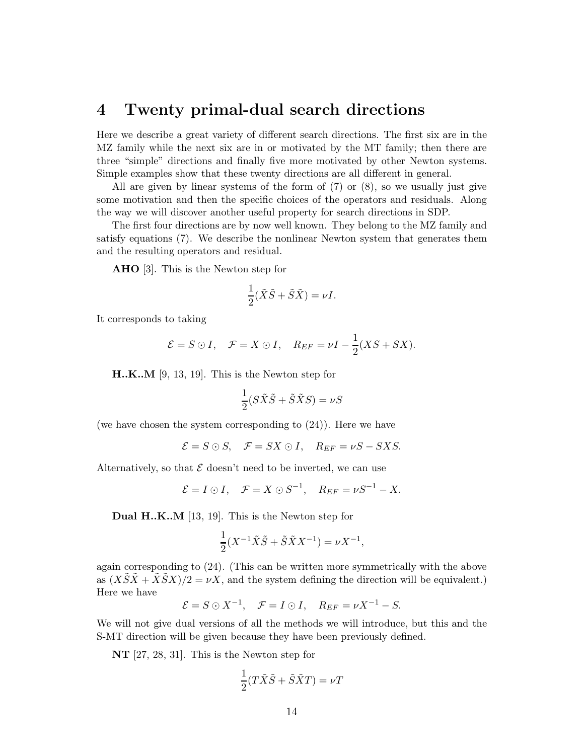### 4 Twenty primal-dual search directions

Here we describe a great variety of different search directions. The first six are in the MZ family while the next six are in or motivated by the MT family; then there are three "simple" directions and finally five more motivated by other Newton systems. Simple examples show that these twenty directions are all different in general.

All are given by linear systems of the form of (7) or (8), so we usually just give some motivation and then the specific choices of the operators and residuals. Along the way we will discover another useful property for search directions in SDP.

The first four directions are by now well known. They belong to the MZ family and satisfy equations (7). We describe the nonlinear Newton system that generates them and the resulting operators and residual.

AHO [3]. This is the Newton step for

$$
\frac{1}{2}(\tilde{X}\tilde{S} + \tilde{S}\tilde{X}) = \nu I.
$$

It corresponds to taking

$$
\mathcal{E} = S \odot I
$$
,  $\mathcal{F} = X \odot I$ ,  $R_{EF} = \nu I - \frac{1}{2}(XS + SX)$ .

H..K..M [9, 13, 19]. This is the Newton step for

$$
\frac{1}{2}(S\tilde{X}\tilde{S} + \tilde{S}\tilde{X}S) = \nu S
$$

(we have chosen the system corresponding to (24)). Here we have

$$
\mathcal{E} = S \odot S, \quad \mathcal{F} = SX \odot I, \quad R_{EF} = \nu S - SXS.
$$

Alternatively, so that  $\mathcal E$  doesn't need to be inverted, we can use

$$
\mathcal{E} = I \odot I, \quad \mathcal{F} = X \odot S^{-1}, \quad R_{EF} = \nu S^{-1} - X.
$$

Dual H..K..M [13, 19]. This is the Newton step for

$$
\frac{1}{2}(X^{-1}\tilde{X}\tilde{S} + \tilde{S}\tilde{X}X^{-1}) = \nu X^{-1},
$$

again corresponding to (24). (This can be written more symmetrically with the above as  $(XSX + XSX)/2 = \nu X$ , and the system defining the direction will be equivalent.) Here we have

$$
\mathcal{E} = S \odot X^{-1}, \quad \mathcal{F} = I \odot I, \quad R_{EF} = \nu X^{-1} - S.
$$

We will not give dual versions of all the methods we will introduce, but this and the S-MT direction will be given because they have been previously defined.

NT [27, 28, 31]. This is the Newton step for

$$
\frac{1}{2}(T\tilde{X}\tilde{S} + \tilde{S}\tilde{X}T) = \nu T
$$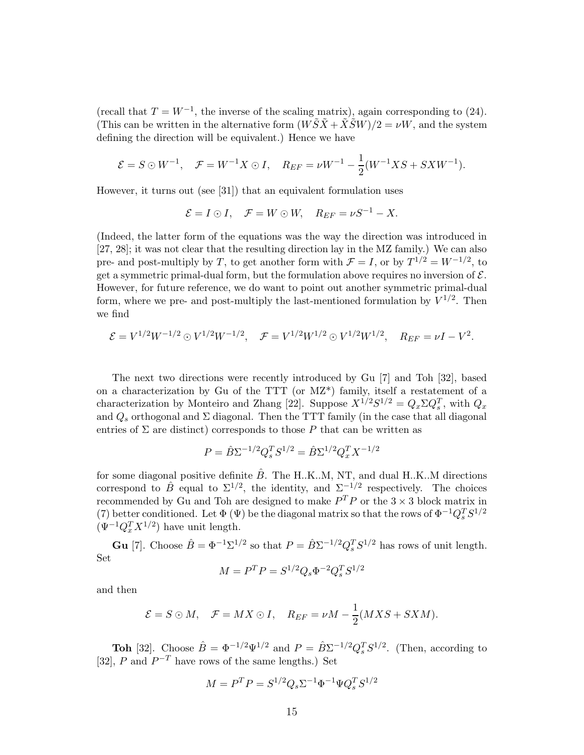(recall that  $T = W^{-1}$ , the inverse of the scaling matrix), again corresponding to (24). (This can be written in the alternative form  $(W\tilde{S}\tilde{X}+\tilde{X}\tilde{S}W)/2=\nu W$ , and the system defining the direction will be equivalent.) Hence we have

$$
\mathcal{E} = S \odot W^{-1}, \quad \mathcal{F} = W^{-1}X \odot I, \quad R_{EF} = \nu W^{-1} - \frac{1}{2}(W^{-1}XS + SXW^{-1}).
$$

However, it turns out (see [31]) that an equivalent formulation uses

$$
\mathcal{E} = I \odot I, \quad \mathcal{F} = W \odot W, \quad R_{EF} = \nu S^{-1} - X.
$$

(Indeed, the latter form of the equations was the way the direction was introduced in [27, 28]; it was not clear that the resulting direction lay in the MZ family.) We can also pre- and post-multiply by T, to get another form with  $\mathcal{F} = I$ , or by  $T^{1/2} = W^{-1/2}$ , to get a symmetric primal-dual form, but the formulation above requires no inversion of  $\mathcal{E}$ . However, for future reference, we do want to point out another symmetric primal-dual form, where we pre- and post-multiply the last-mentioned formulation by  $\tilde{V}^{1/2}$ . Then we find

$$
\mathcal{E} = V^{1/2} W^{-1/2} \odot V^{1/2} W^{-1/2}, \quad \mathcal{F} = V^{1/2} W^{1/2} \odot V^{1/2} W^{1/2}, \quad R_{EF} = \nu I - V^2.
$$

The next two directions were recently introduced by Gu [7] and Toh [32], based on a characterization by Gu of the TTT (or MZ\*) family, itself a restatement of a characterization by Monteiro and Zhang [22]. Suppose  $X^{1/2}S^{1/2} = Q_x \Sigma Q_s^T$ , with  $Q_x$ and  $Q_s$  orthogonal and  $\Sigma$  diagonal. Then the TTT family (in the case that all diagonal entries of  $\Sigma$  are distinct) corresponds to those P that can be written as

$$
P = \hat{B}\Sigma^{-1/2}Q_s^TS^{1/2} = \hat{B}\Sigma^{1/2}Q_x^TX^{-1/2}
$$

for some diagonal positive definite  $B$ . The H.K..M, NT, and dual H.K..M directions correspond to  $\hat{B}$  equal to  $\Sigma^{1/2}$ , the identity, and  $\Sigma^{-1/2}$  respectively. The choices recommended by Gu and Toh are designed to make  $P^T P$  or the  $3 \times 3$  block matrix in (7) better conditioned. Let  $\Phi(\Psi)$  be the diagonal matrix so that the rows of  $\Phi^{-1}Q_s^TS^{1/2}$  $(\Psi^{-1} Q_x^T X^{1/2})$  have unit length.

**Gu** [7]. Choose  $\hat{B} = \Phi^{-1} \Sigma^{1/2}$  so that  $P = \hat{B} \Sigma^{-1/2} Q_s^T S^{1/2}$  has rows of unit length. Set

$$
M = P^T P = S^{1/2} Q_s \Phi^{-2} Q_s^T S^{1/2}
$$

and then

$$
\mathcal{E} = S \odot M, \quad \mathcal{F} = MX \odot I, \quad R_{EF} = \nu M - \frac{1}{2}(MXS + SXM).
$$

**Toh** [32]. Choose  $\hat{B} = \Phi^{-1/2} \Psi^{1/2}$  and  $P = \hat{B} \Sigma^{-1/2} Q_s^T S^{1/2}$ . (Then, according to [32], P and  $P^{-T}$  have rows of the same lengths.) Set

$$
M = P^T P = S^{1/2} Q_s \Sigma^{-1} \Phi^{-1} \Psi Q_s^T S^{1/2}
$$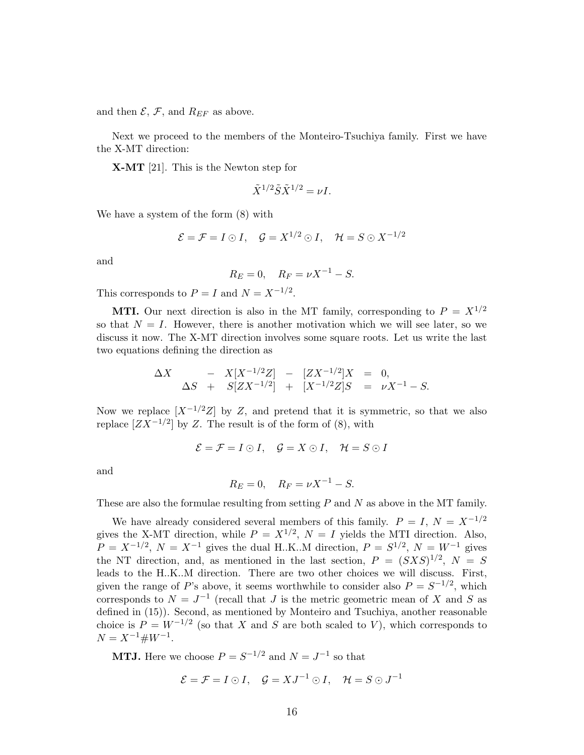and then  $\mathcal{E}, \mathcal{F}$ , and  $R_{EF}$  as above.

Next we proceed to the members of the Monteiro-Tsuchiya family. First we have the X-MT direction:

X-MT [21]. This is the Newton step for

$$
\tilde{X}^{1/2} \tilde{S} \tilde{X}^{1/2} = \nu I.
$$

We have a system of the form (8) with

$$
\mathcal{E} = \mathcal{F} = I \odot I, \quad \mathcal{G} = X^{1/2} \odot I, \quad \mathcal{H} = S \odot X^{-1/2}
$$

and

$$
R_E = 0
$$
,  $R_F = \nu X^{-1} - S$ .

This corresponds to  $P = I$  and  $N = X^{-1/2}$ .

**MTI.** Our next direction is also in the MT family, corresponding to  $P = X^{1/2}$ so that  $N = I$ . However, there is another motivation which we will see later, so we discuss it now. The X-MT direction involves some square roots. Let us write the last two equations defining the direction as

$$
\Delta X \quad - X[X^{-1/2}Z] \quad - \quad [ZX^{-1/2}]X \quad = \quad 0,
$$
\n
$$
\Delta S \quad + \quad S[ZX^{-1/2}] \quad + \quad [X^{-1/2}Z]S \quad = \quad \nu X^{-1} - S.
$$

Now we replace  $[X^{-1/2}Z]$  by Z, and pretend that it is symmetric, so that we also replace  $[ZX^{-1/2}]$  by Z. The result is of the form of (8), with

$$
\mathcal{E} = \mathcal{F} = I \odot I, \quad \mathcal{G} = X \odot I, \quad \mathcal{H} = S \odot I
$$

and

$$
R_E = 0
$$
,  $R_F = \nu X^{-1} - S$ .

These are also the formulae resulting from setting  $P$  and  $N$  as above in the MT family.

We have already considered several members of this family.  $P = I$ ,  $N = X^{-1/2}$ gives the X-MT direction, while  $P = X^{1/2}$ ,  $N = I$  yields the MTI direction. Also,  $P = X^{-1/2}$ ,  $N = X^{-1}$  gives the dual H.K..M direction,  $P = S^{1/2}$ ,  $N = W^{-1}$  gives the NT direction, and, as mentioned in the last section,  $P = (SXS)^{1/2}, N = S$ leads to the H..K..M direction. There are two other choices we will discuss. First, given the range of P's above, it seems worthwhile to consider also  $P = S^{-1/2}$ , which corresponds to  $N = J^{-1}$  (recall that J is the metric geometric mean of X and S as defined in (15)). Second, as mentioned by Monteiro and Tsuchiya, another reasonable choice is  $P = W^{-1/2}$  (so that X and S are both scaled to V), which corresponds to  $N = X^{-1} \# W^{-1}.$ 

**MTJ.** Here we choose  $P = S^{-1/2}$  and  $N = J^{-1}$  so that

$$
\mathcal{E} = \mathcal{F} = I \odot I, \quad \mathcal{G} = XJ^{-1} \odot I, \quad \mathcal{H} = S \odot J^{-1}
$$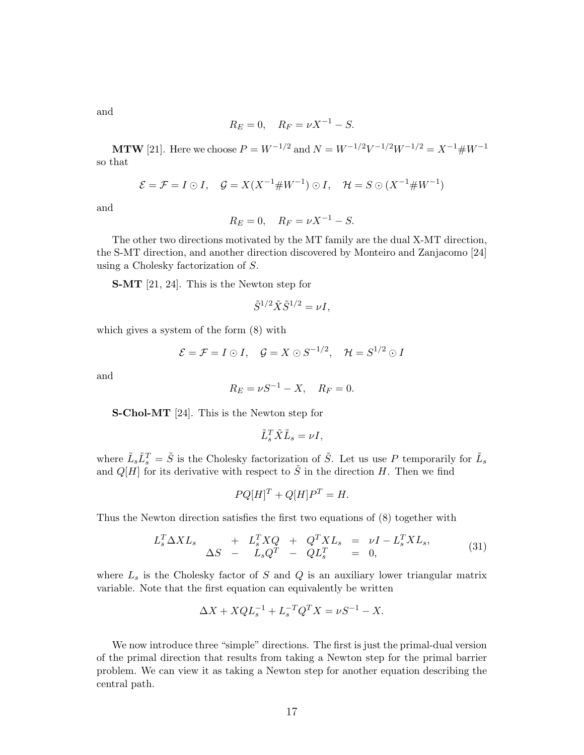and

$$
R_E = 0
$$
,  $R_F = \nu X^{-1} - S$ .

**MTW** [21]. Here we choose  $P = W^{-1/2}$  and  $N = W^{-1/2}V^{-1/2}W^{-1/2} = X^{-1} \# W^{-1}$ so that

$$
\mathcal{E} = \mathcal{F} = I \odot I, \quad \mathcal{G} = X(X^{-1} \# W^{-1}) \odot I, \quad \mathcal{H} = S \odot (X^{-1} \# W^{-1})
$$

and

$$
R_E = 0
$$
,  $R_F = \nu X^{-1} - S$ .

The other two directions motivated by the MT family are the dual X-MT direction, the S-MT direction, and another direction discovered by Monteiro and Zanjacomo [24] using a Cholesky factorization of S.

S-MT [21, 24]. This is the Newton step for

$$
\tilde{S}^{1/2}\tilde{X}\tilde{S}^{1/2}=\nu I,
$$

which gives a system of the form (8) with

$$
\mathcal{E} = \mathcal{F} = I \odot I
$$
,  $\mathcal{G} = X \odot S^{-1/2}$ ,  $\mathcal{H} = S^{1/2} \odot I$ 

and

$$
R_E = \nu S^{-1} - X
$$
,  $R_F = 0$ .

S-Chol-MT [24]. This is the Newton step for

$$
\tilde{L}_s^T \tilde{X} \tilde{L}_s = \nu I,
$$

where  $\tilde{L}_s \tilde{L}_s^T = \tilde{S}$  is the Cholesky factorization of  $\tilde{S}$ . Let us use P temporarily for  $\tilde{L}_s$  and  $Q[H]$  for its derivative with respect to  $\tilde{S}$  in the direction H. Then we find

$$
PQ[H]^T + Q[H]P^T = H.
$$

Thus the Newton direction satisfies the first two equations of (8) together with

$$
L_s^T \Delta X L_s \quad + \quad L_s^T X Q \quad + \quad Q^T X L_s \quad = \quad \nu I - L_s^T X L_s, \n\Delta S \quad - \quad L_s Q^T \quad - \quad Q L_s^T \quad = \quad 0,
$$
\n
$$
(31)
$$

where  $L<sub>s</sub>$  is the Cholesky factor of S and Q is an auxiliary lower triangular matrix variable. Note that the first equation can equivalently be written

$$
\Delta X + X Q L_s^{-1} + L_s^{-T} Q^T X = \nu S^{-1} - X.
$$

We now introduce three "simple" directions. The first is just the primal-dual version of the primal direction that results from taking a Newton step for the primal barrier problem. We can view it as taking a Newton step for another equation describing the central path.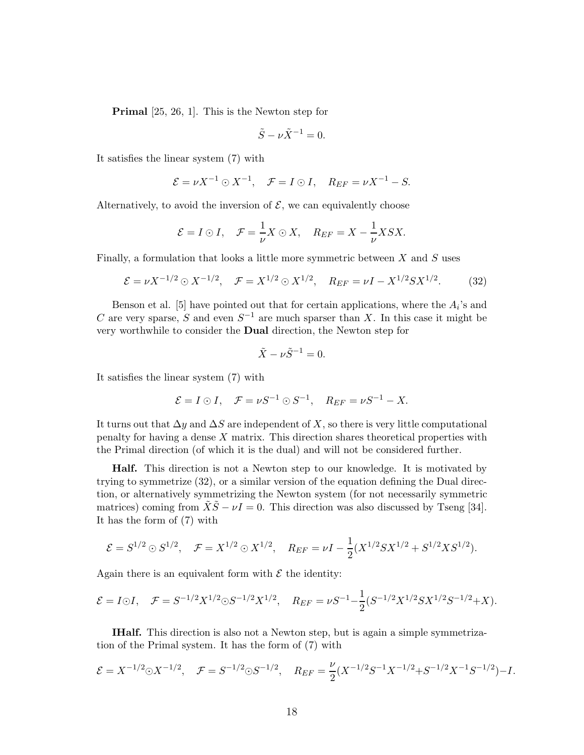Primal [25, 26, 1]. This is the Newton step for

$$
\tilde{S} - \nu \tilde{X}^{-1} = 0.
$$

It satisfies the linear system (7) with

$$
\mathcal{E} = \nu X^{-1} \odot X^{-1}, \quad \mathcal{F} = I \odot I, \quad R_{EF} = \nu X^{-1} - S.
$$

Alternatively, to avoid the inversion of  $\mathcal{E}$ , we can equivalently choose

$$
\mathcal{E} = I \odot I, \quad \mathcal{F} = \frac{1}{\nu} X \odot X, \quad R_{EF} = X - \frac{1}{\nu} X S X.
$$

Finally, a formulation that looks a little more symmetric between  $X$  and  $S$  uses

$$
\mathcal{E} = \nu X^{-1/2} \odot X^{-1/2}, \quad \mathcal{F} = X^{1/2} \odot X^{1/2}, \quad R_{EF} = \nu I - X^{1/2} S X^{1/2}.
$$
 (32)

Benson et al. [5] have pointed out that for certain applications, where the  $A_i$ 's and C are very sparse, S and even  $S^{-1}$  are much sparser than X. In this case it might be very worthwhile to consider the Dual direction, the Newton step for

$$
\tilde{X} - \nu \tilde{S}^{-1} = 0.
$$

It satisfies the linear system (7) with

$$
\mathcal{E} = I \odot I, \quad \mathcal{F} = \nu S^{-1} \odot S^{-1}, \quad R_{EF} = \nu S^{-1} - X.
$$

It turns out that  $\Delta y$  and  $\Delta S$  are independent of X, so there is very little computational penalty for having a dense X matrix. This direction shares theoretical properties with the Primal direction (of which it is the dual) and will not be considered further.

Half. This direction is not a Newton step to our knowledge. It is motivated by trying to symmetrize (32), or a similar version of the equation defining the Dual direction, or alternatively symmetrizing the Newton system (for not necessarily symmetric matrices) coming from  $\tilde{X}\tilde{S} - \nu I = 0$ . This direction was also discussed by Tseng [34]. It has the form of (7) with

$$
\mathcal{E} = S^{1/2} \odot S^{1/2}, \quad \mathcal{F} = X^{1/2} \odot X^{1/2}, \quad R_{EF} = \nu I - \frac{1}{2} (X^{1/2} S X^{1/2} + S^{1/2} X S^{1/2}).
$$

Again there is an equivalent form with  $\mathcal E$  the identity:

$$
\mathcal{E} = I \odot I, \quad \mathcal{F} = S^{-1/2} X^{1/2} \odot S^{-1/2} X^{1/2}, \quad R_{EF} = \nu S^{-1} - \frac{1}{2} (S^{-1/2} X^{1/2} S X^{1/2} S^{-1/2} + X).
$$

IHalf. This direction is also not a Newton step, but is again a simple symmetrization of the Primal system. It has the form of (7) with

$$
\mathcal{E} = X^{-1/2} \odot X^{-1/2}, \quad \mathcal{F} = S^{-1/2} \odot S^{-1/2}, \quad R_{EF} = \frac{\nu}{2} (X^{-1/2} S^{-1} X^{-1/2} + S^{-1/2} X^{-1} S^{-1/2}) - I.
$$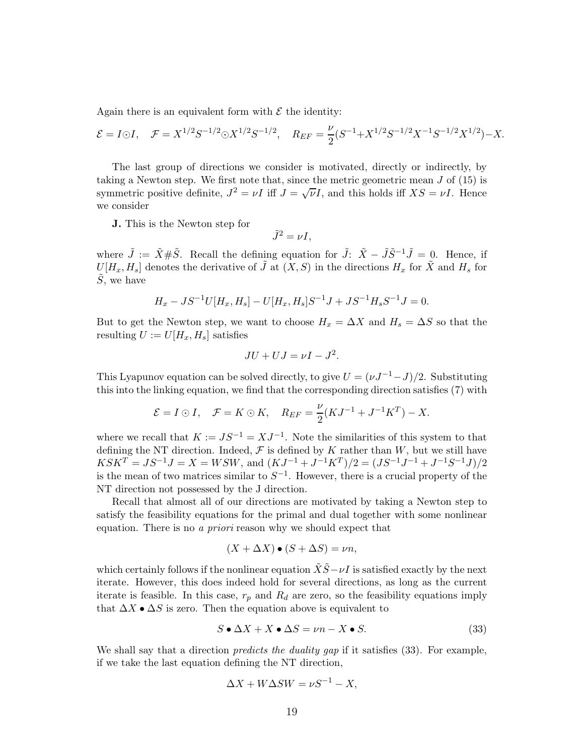Again there is an equivalent form with  $\mathcal E$  the identity:

$$
\mathcal{E} = I \odot I
$$
,  $\mathcal{F} = X^{1/2} S^{-1/2} \odot X^{1/2} S^{-1/2}$ ,  $Re_F = \frac{\nu}{2} (S^{-1} + X^{1/2} S^{-1/2} X^{-1} S^{-1/2} X^{1/2}) - X$ .

The last group of directions we consider is motivated, directly or indirectly, by taking a Newton step. We first note that, since the metric geometric mean  $J$  of  $(15)$  is symmetric positive definite,  $J^2 = \nu I$  iff  $J = \sqrt{\nu}I$ , and this holds iff  $XS = \nu I$ . Hence we consider

J. This is the Newton step for

$$
\tilde{J}^2 = \nu I,
$$

where  $\tilde{J} := \tilde{X} \# \tilde{S}$ . Recall the defining equation for  $\tilde{J}: \tilde{X} - \tilde{J} \tilde{S}^{-1} \tilde{J} = 0$ . Hence, if  $U[H_x, H_s]$  denotes the derivative of  $\tilde{J}$  at  $(X, S)$  in the directions  $H_x$  for  $\tilde{X}$  and  $H_s$  for  $S$ , we have

$$
H_x - JS^{-1}U[H_x, H_s] - U[H_x, H_s]S^{-1}J + JS^{-1}H_sS^{-1}J = 0.
$$

But to get the Newton step, we want to choose  $H_x = \Delta X$  and  $H_s = \Delta S$  so that the resulting  $U := U[H_x, H_s]$  satisfies

$$
JU + UJ = \nu I - J^2.
$$

This Lyapunov equation can be solved directly, to give  $U = (\nu J^{-1} - J)/2$ . Substituting this into the linking equation, we find that the corresponding direction satisfies (7) with

$$
\mathcal{E} = I \odot I, \quad \mathcal{F} = K \odot K, \quad R_{EF} = \frac{\nu}{2}(KJ^{-1} + J^{-1}K^{T}) - X.
$$

where we recall that  $K := JS^{-1} = XJ^{-1}$ . Note the similarities of this system to that defining the NT direction. Indeed,  $\mathcal F$  is defined by K rather than W, but we still have  $K S K^T = J S^{-1} J = X = W S W$ , and  $(K J^{-1} + J^{-1} K^T)/2 = (J S^{-1} J^{-1} + J^{-1} S^{-1} J)/2$ is the mean of two matrices similar to  $S^{-1}$ . However, there is a crucial property of the NT direction not possessed by the J direction.

Recall that almost all of our directions are motivated by taking a Newton step to satisfy the feasibility equations for the primal and dual together with some nonlinear equation. There is no a priori reason why we should expect that

$$
(X + \Delta X) \bullet (S + \Delta S) = \nu n,
$$

which certainly follows if the nonlinear equation  $\tilde{X}\tilde{S}-\nu I$  is satisfied exactly by the next iterate. However, this does indeed hold for several directions, as long as the current iterate is feasible. In this case,  $r_p$  and  $R_d$  are zero, so the feasibility equations imply that  $\Delta X \bullet \Delta S$  is zero. Then the equation above is equivalent to

$$
S \bullet \Delta X + X \bullet \Delta S = \nu n - X \bullet S. \tag{33}
$$

We shall say that a direction *predicts the duality gap* if it satisfies (33). For example, if we take the last equation defining the NT direction,

$$
\Delta X + W\Delta SW = \nu S^{-1} - X,
$$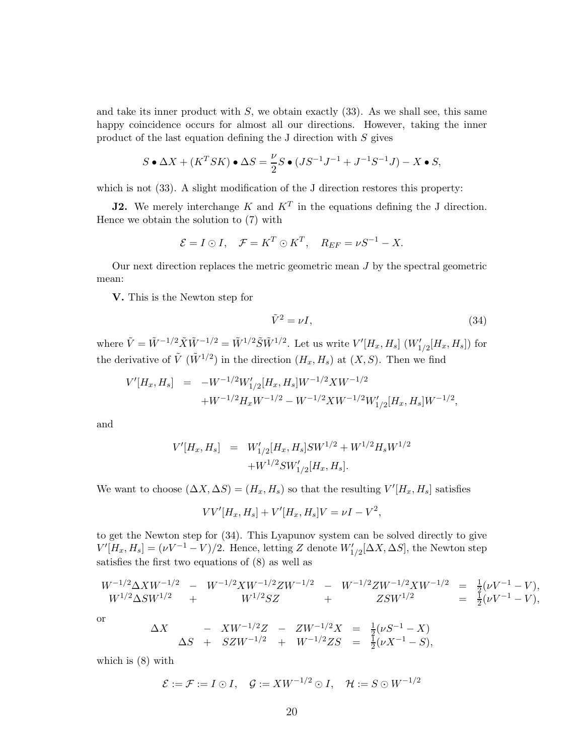and take its inner product with  $S$ , we obtain exactly  $(33)$ . As we shall see, this same happy coincidence occurs for almost all our directions. However, taking the inner product of the last equation defining the J direction with S gives

$$
S \bullet \Delta X + (K^T S K) \bullet \Delta S = \frac{\nu}{2} S \bullet (J S^{-1} J^{-1} + J^{-1} S^{-1} J) - X \bullet S,
$$

which is not  $(33)$ . A slight modification of the J direction restores this property:

**J2.** We merely interchange K and  $K^T$  in the equations defining the J direction. Hence we obtain the solution to (7) with

$$
\mathcal{E} = I \odot I, \quad \mathcal{F} = K^T \odot K^T, \quad R_{EF} = \nu S^{-1} - X.
$$

Our next direction replaces the metric geometric mean J by the spectral geometric mean:

V. This is the Newton step for

$$
\tilde{V}^2 = \nu I,\tag{34}
$$

where  $\tilde{V} = \tilde{W}^{-1/2} \tilde{X} \tilde{W}^{-1/2} = \tilde{W}^{1/2} \tilde{S} \tilde{W}^{1/2}$ . Let us write  $V'[H_x, H_s] (W'_{1/2}[H_x, H_s])$  for the derivative of  $\tilde{V}$  ( $\tilde{W}^{1/2}$ ) in the direction  $(H_x, H_s)$  at  $(X, S)$ . Then we find

$$
\begin{array}{lll} V'[H_x,H_s] &=& -W^{-1/2}W_{1/2}'[H_x,H_s]W^{-1/2}XW^{-1/2} \\ && \quad +W^{-1/2}H_xW^{-1/2}-W^{-1/2}XW^{-1/2}W_{1/2}'[H_x,H_s]W^{-1/2}, \end{array}
$$

and

$$
V'[H_x, H_s] = W'_{1/2}[H_x, H_s]SW^{1/2} + W^{1/2}H_sW^{1/2}
$$
  
+
$$
W^{1/2}SW'_{1/2}[H_x, H_s].
$$

We want to choose  $(\Delta X, \Delta S) = (H_x, H_s)$  so that the resulting  $V'[H_x, H_s]$  satisfies

$$
VV'[H_x, H_s] + V'[H_x, H_s]V = \nu I - V^2,
$$

to get the Newton step for (34). This Lyapunov system can be solved directly to give  $V'[H_x, H_s] = (\nu V^{-1} - V)/2$ . Hence, letting Z denote  $W'_{1/2}[\Delta X, \Delta S]$ , the Newton step satisfies the first two equations of (8) as well as

$$
\begin{array}{ccc}W^{-1/2}\Delta XW^{-1/2}&-&W^{-1/2}XW^{-1/2}ZW^{-1/2}&-&W^{-1/2}ZW^{-1/2}XW^{-1/2}&=&\frac{1}{2}(\nu V^{-1}-V),\\W^{1/2}\Delta SW^{1/2}&+&W^{1/2}SZ&+&ZSW^{1/2}&=&\frac{1}{2}(\nu V^{-1}-V),\end{array}
$$

or

$$
\Delta X \quad - XW^{-1/2}Z \quad - \quad ZW^{-1/2}X \quad = \quad \frac{1}{2}(\nu S^{-1} - X) \n\Delta S \quad + \quad SZW^{-1/2} \quad + \quad W^{-1/2}ZS \quad = \quad \frac{1}{2}(\nu X^{-1} - S),
$$

which is (8) with

$$
\mathcal{E} := \mathcal{F} := I \odot I, \quad \mathcal{G} := XW^{-1/2} \odot I, \quad \mathcal{H} := S \odot W^{-1/2}
$$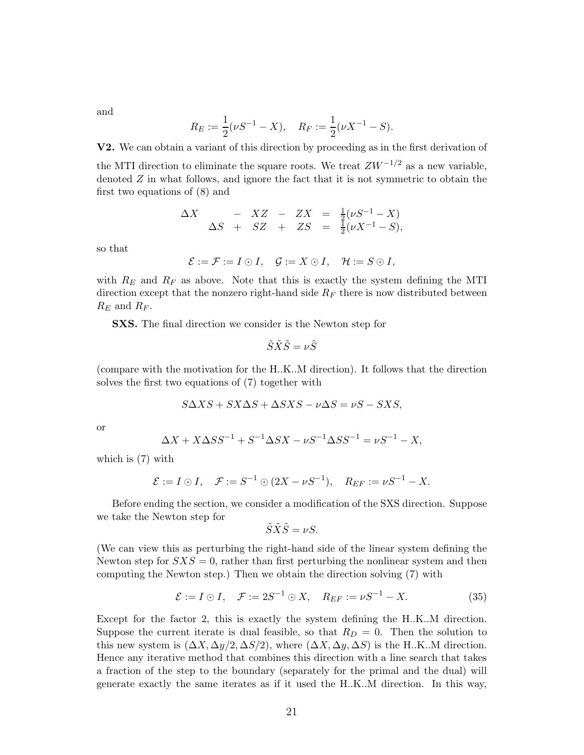and

$$
R_E := \frac{1}{2}(\nu S^{-1} - X), \quad R_F := \frac{1}{2}(\nu X^{-1} - S).
$$

V2. We can obtain a variant of this direction by proceeding as in the first derivation of

the MTI direction to eliminate the square roots. We treat  $ZW^{-1/2}$  as a new variable, denoted  $Z$  in what follows, and ignore the fact that it is not symmetric to obtain the first two equations of (8) and

$$
\Delta X \quad - XZ \quad - \quad ZX \quad = \quad \frac{1}{2}(\nu S^{-1} - X) \n\Delta S \quad + \quad SZ \quad + \quad ZS \quad = \quad \frac{1}{2}(\nu X^{-1} - S),
$$

so that

$$
\mathcal{E} := \mathcal{F} := I \odot I, \quad \mathcal{G} := X \odot I, \quad \mathcal{H} := S \odot I,
$$

with  $R_E$  and  $R_F$  as above. Note that this is exactly the system defining the MTI direction except that the nonzero right-hand side  $R_F$  there is now distributed between  $R_E$  and  $R_F$ .

SXS. The final direction we consider is the Newton step for

$$
\tilde{S}\tilde{X}\tilde{S}=\nu\tilde{S}
$$

(compare with the motivation for the H..K..M direction). It follows that the direction solves the first two equations of (7) together with

$$
S\Delta X S + SX\Delta S + \Delta S X S - \nu \Delta S = \nu S - S X S,
$$

or

$$
\Delta X + X\Delta SS^{-1} + S^{-1}\Delta SX - \nu S^{-1}\Delta SS^{-1} = \nu S^{-1} - X,
$$

which is (7) with

$$
\mathcal{E} := I \odot I, \quad \mathcal{F} := S^{-1} \odot (2X - \nu S^{-1}), \quad R_{EF} := \nu S^{-1} - X.
$$

Before ending the section, we consider a modification of the SXS direction. Suppose we take the Newton step for

$$
\tilde{S}\tilde{X}\tilde{S}=\nu S.
$$

(We can view this as perturbing the right-hand side of the linear system defining the Newton step for  $SXS = 0$ , rather than first perturbing the nonlinear system and then computing the Newton step.) Then we obtain the direction solving (7) with

$$
\mathcal{E} := I \odot I, \quad \mathcal{F} := 2S^{-1} \odot X, \quad R_{EF} := \nu S^{-1} - X. \tag{35}
$$

Except for the factor 2, this is exactly the system defining the H..K..M direction. Suppose the current iterate is dual feasible, so that  $R_D = 0$ . Then the solution to this new system is  $(\Delta X, \Delta y/2, \Delta S/2)$ , where  $(\Delta X, \Delta y, \Delta S)$  is the H.K..M direction. Hence any iterative method that combines this direction with a line search that takes a fraction of the step to the boundary (separately for the primal and the dual) will generate exactly the same iterates as if it used the H..K..M direction. In this way,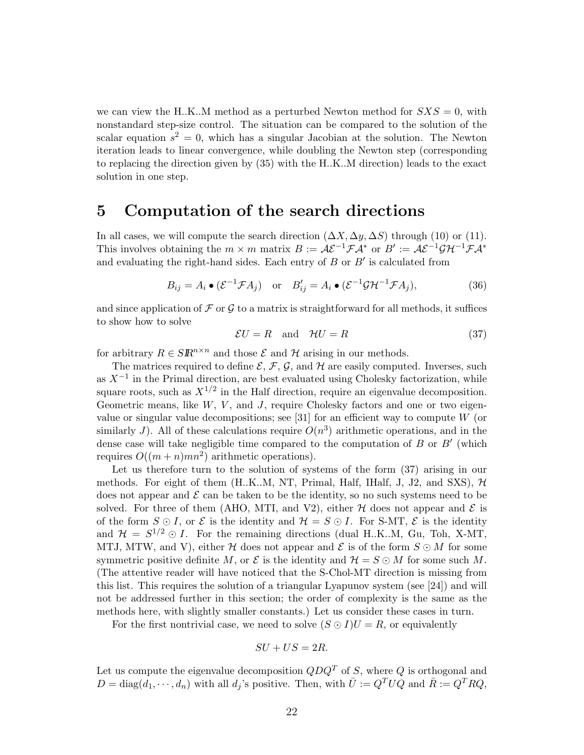we can view the H.K..M method as a perturbed Newton method for  $SXS = 0$ , with nonstandard step-size control. The situation can be compared to the solution of the scalar equation  $s^2 = 0$ , which has a singular Jacobian at the solution. The Newton iteration leads to linear convergence, while doubling the Newton step (corresponding to replacing the direction given by (35) with the H..K..M direction) leads to the exact solution in one step.

### 5 Computation of the search directions

In all cases, we will compute the search direction  $(\Delta X, \Delta y, \Delta S)$  through (10) or (11). This involves obtaining the  $m \times m$  matrix  $B := \mathcal{A}\mathcal{E}^{-1}\mathcal{F}\mathcal{A}^*$  or  $B' := \mathcal{A}\mathcal{E}^{-1}\mathcal{G}\mathcal{H}^{-1}\mathcal{F}\mathcal{A}^*$ and evaluating the right-hand sides. Each entry of  $B$  or  $B'$  is calculated from

$$
B_{ij} = A_i \bullet (\mathcal{E}^{-1} \mathcal{F} A_j) \quad \text{or} \quad B'_{ij} = A_i \bullet (\mathcal{E}^{-1} \mathcal{G} \mathcal{H}^{-1} \mathcal{F} A_j), \tag{36}
$$

and since application of  $\mathcal F$  or  $\mathcal G$  to a matrix is straightforward for all methods, it suffices to show how to solve

$$
\mathcal{E}U = R \quad \text{and} \quad \mathcal{H}U = R \tag{37}
$$

for arbitrary  $R \in \mathcal{S} \mathbb{R}^{n \times n}$  and those  $\mathcal E$  and  $\mathcal H$  arising in our methods.

The matrices required to define  $\mathcal{E}, \mathcal{F}, \mathcal{G},$  and  $\mathcal{H}$  are easily computed. Inverses, such as  $X^{-1}$  in the Primal direction, are best evaluated using Cholesky factorization, while square roots, such as  $X^{1/2}$  in the Half direction, require an eigenvalue decomposition. Geometric means, like  $W, V$ , and J, require Cholesky factors and one or two eigenvalue or singular value decompositions; see [31] for an efficient way to compute  $W$  (or similarly J). All of these calculations require  $O(n^3)$  arithmetic operations, and in the dense case will take negligible time compared to the computation of  $B$  or  $B'$  (which requires  $O((m+n)mn^2)$  arithmetic operations).

Let us therefore turn to the solution of systems of the form  $(37)$  arising in our methods. For eight of them  $(H..K..M, NT, Primal, Half, IHalf, J, J2, and SXS), H$ does not appear and  $\mathcal E$  can be taken to be the identity, so no such systems need to be solved. For three of them (AHO, MTI, and V2), either  $H$  does not appear and  $\mathcal E$  is of the form  $S \odot I$ , or  $\mathcal E$  is the identity and  $\mathcal H = S \odot I$ . For S-MT,  $\mathcal E$  is the identity and  $\mathcal{H} = S^{1/2} \odot I$ . For the remaining directions (dual H.K.M, Gu, Toh, X-MT, MTJ, MTW, and V), either H does not appear and  $\mathcal E$  is of the form  $S \odot M$  for some symmetric positive definite M, or  $\mathcal E$  is the identity and  $\mathcal H = S \odot M$  for some such M. (The attentive reader will have noticed that the S-Chol-MT direction is missing from this list. This requires the solution of a triangular Lyapunov system (see [24]) and will not be addressed further in this section; the order of complexity is the same as the methods here, with slightly smaller constants.) Let us consider these cases in turn.

For the first nontrivial case, we need to solve  $(S \odot I)U = R$ , or equivalently

$$
SU + US = 2R.
$$

Let us compute the eigenvalue decomposition  $QDQ^T$  of S, where Q is orthogonal and  $D = \text{diag}(d_1, \dots, d_n)$  with all  $d_j$ 's positive. Then, with  $\overline{U} := Q^T U Q$  and  $\overline{R} := Q^T R Q$ ,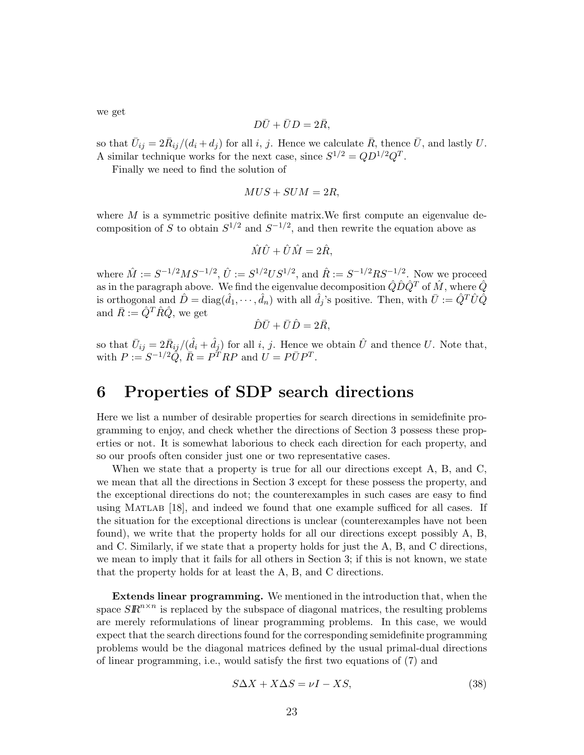we get

$$
D\bar{U} + \bar{U}D = 2\bar{R},
$$

so that  $\bar{U}_{ij} = 2\bar{R}_{ij}/(d_i + d_j)$  for all i, j. Hence we calculate  $\bar{R}$ , thence  $\bar{U}$ , and lastly U. A similar technique works for the next case, since  $S^{1/2} = QD^{1/2}Q^{T}$ .

Finally we need to find the solution of

$$
MUS + SUM = 2R,
$$

where  $M$  is a symmetric positive definite matrix. We first compute an eigenvalue decomposition of S to obtain  $S^{1/2}$  and  $S^{-1/2}$ , and then rewrite the equation above as

$$
\hat{M}\hat{U} + \hat{U}\hat{M} = 2\hat{R},
$$

where  $\hat{M} := S^{-1/2}MS^{-1/2}, \hat{U} := S^{1/2}US^{1/2}$ , and  $\hat{R} := S^{-1/2}RS^{-1/2}$ . Now we proceed as in the paragraph above. We find the eigenvalue decomposition  $\hat{Q}\hat{D}\hat{Q}^T$  of  $\hat{M}$ , where  $\hat{Q}$ is orthogonal and  $\hat{D} = \text{diag}(\hat{d}_1, \dots, \hat{d}_n)$  with all  $\hat{d}_j$ 's positive. Then, with  $\bar{U} := \hat{Q}^T \hat{U} \hat{Q}$ and  $\bar{R} := \hat{Q}^T \hat{R} \hat{Q}$ , we get

$$
\hat{D}\bar{U} + \bar{U}\hat{D} = 2\bar{R},
$$

so that  $\bar{U}_{ij} = 2\bar{R}_{ij}/(\hat{d}_i + \hat{d}_j)$  for all i, j. Hence we obtain  $\hat{U}$  and thence U. Note that, with  $P := S^{-1/2} \widetilde{Q}, \overline{R} = P^{\widetilde{T}} R P$  and  $U = P \overline{U} P^T$ .

## 6 Properties of SDP search directions

Here we list a number of desirable properties for search directions in semidefinite programming to enjoy, and check whether the directions of Section 3 possess these properties or not. It is somewhat laborious to check each direction for each property, and so our proofs often consider just one or two representative cases.

When we state that a property is true for all our directions except A, B, and C, we mean that all the directions in Section 3 except for these possess the property, and the exceptional directions do not; the counterexamples in such cases are easy to find using Matlab [18], and indeed we found that one example sufficed for all cases. If the situation for the exceptional directions is unclear (counterexamples have not been found), we write that the property holds for all our directions except possibly A, B, and C. Similarly, if we state that a property holds for just the A, B, and C directions, we mean to imply that it fails for all others in Section 3; if this is not known, we state that the property holds for at least the A, B, and C directions.

Extends linear programming. We mentioned in the introduction that, when the space  $S\mathbb{R}^{n\times n}$  is replaced by the subspace of diagonal matrices, the resulting problems are merely reformulations of linear programming problems. In this case, we would expect that the search directions found for the corresponding semidefinite programming problems would be the diagonal matrices defined by the usual primal-dual directions of linear programming, i.e., would satisfy the first two equations of (7) and

$$
S\Delta X + X\Delta S = \nu I - XS,\tag{38}
$$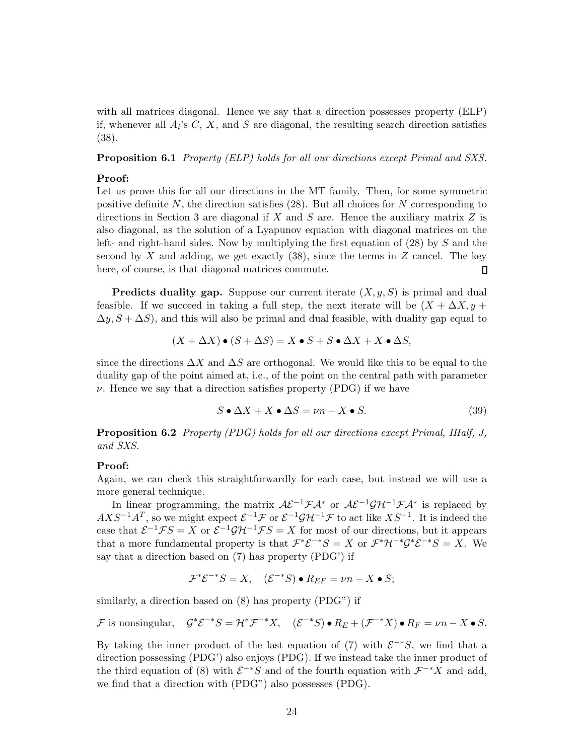with all matrices diagonal. Hence we say that a direction possesses property (ELP) if, whenever all  $A_i$ 's  $C, X$ , and  $S$  are diagonal, the resulting search direction satisfies (38).

Proposition 6.1 Property (ELP) holds for all our directions except Primal and SXS.

#### Proof:

Let us prove this for all our directions in the MT family. Then, for some symmetric positive definite  $N$ , the direction satisfies (28). But all choices for  $N$  corresponding to directions in Section 3 are diagonal if  $X$  and  $S$  are. Hence the auxiliary matrix  $Z$  is also diagonal, as the solution of a Lyapunov equation with diagonal matrices on the left- and right-hand sides. Now by multiplying the first equation of (28) by S and the second by  $X$  and adding, we get exactly (38), since the terms in  $Z$  cancel. The key here, of course, is that diagonal matrices commute.  $\Box$ 

**Predicts duality gap.** Suppose our current iterate  $(X, y, S)$  is primal and dual feasible. If we succeed in taking a full step, the next iterate will be  $(X + \Delta X, y +$  $\Delta y, S + \Delta S$ , and this will also be primal and dual feasible, with duality gap equal to

$$
(X + \Delta X) \bullet (S + \Delta S) = X \bullet S + S \bullet \Delta X + X \bullet \Delta S,
$$

since the directions  $\Delta X$  and  $\Delta S$  are orthogonal. We would like this to be equal to the duality gap of the point aimed at, i.e., of the point on the central path with parameter  $\nu$ . Hence we say that a direction satisfies property (PDG) if we have

$$
S \bullet \Delta X + X \bullet \Delta S = \nu n - X \bullet S. \tag{39}
$$

Proposition 6.2 Property (PDG) holds for all our directions except Primal, IHalf, J, and SXS.

#### Proof:

Again, we can check this straightforwardly for each case, but instead we will use a more general technique.

In linear programming, the matrix  $\mathcal{A}\mathcal{E}^{-1}\mathcal{F}\mathcal{A}^*$  or  $\mathcal{A}\mathcal{E}^{-1}\mathcal{G}\mathcal{H}^{-1}\mathcal{F}\mathcal{A}^*$  is replaced by  $AXS^{-1}A^T$ , so we might expect  $\mathcal{E}^{-1}\mathcal{F}$  or  $\mathcal{E}^{-1}\mathcal{G}\mathcal{H}^{-1}\mathcal{F}$  to act like  $XS^{-1}$ . It is indeed the case that  $\mathcal{E}^{-1}\mathcal{F}S = X$  or  $\mathcal{E}^{-1}\mathcal{G}\mathcal{H}^{-1}\mathcal{F}S = X$  for most of our directions, but it appears that a more fundamental property is that  $\mathcal{F}^*\mathcal{E}^{-*}S = X$  or  $\mathcal{F}^*\mathcal{H}^{-*}\mathcal{G}^*\mathcal{E}^{-*}S = X$ . We say that a direction based on (7) has property (PDG') if

$$
\mathcal{F}^*\mathcal{E}^{-*}S = X, \quad (\mathcal{E}^{-*}S) \bullet R_{EF} = \nu n - X \bullet S;
$$

similarly, a direction based on (8) has property (PDG") if

$$
\mathcal{F} \text{ is nonsingular}, \quad \mathcal{G}^* \mathcal{E}^{-*} S = \mathcal{H}^* \mathcal{F}^{-*} X, \quad (\mathcal{E}^{-*} S) \bullet R_E + (\mathcal{F}^{-*} X) \bullet R_F = \nu n - X \bullet S.
$$

By taking the inner product of the last equation of (7) with  $\mathcal{E}^{-*}S$ , we find that a direction possessing (PDG') also enjoys (PDG). If we instead take the inner product of the third equation of (8) with  $\mathcal{E}^{-*}S$  and of the fourth equation with  $\mathcal{F}^{-*}X$  and add, we find that a direction with (PDG") also possesses (PDG).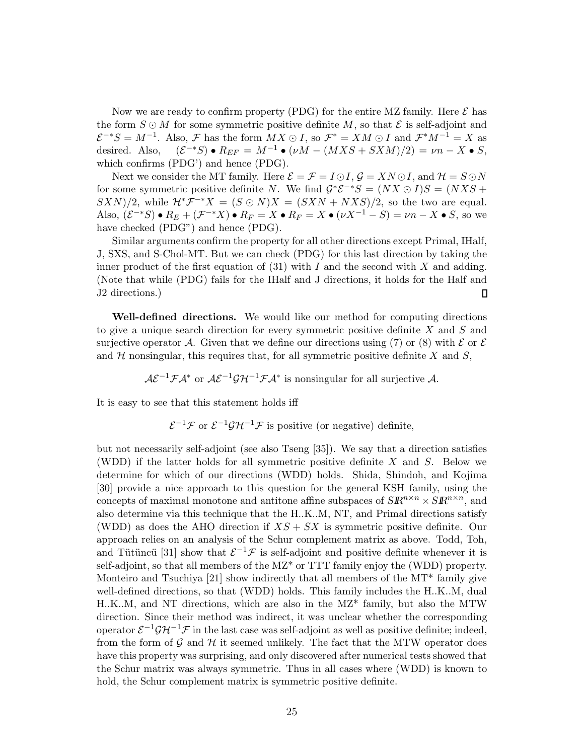Now we are ready to confirm property (PDG) for the entire MZ family. Here  $\mathcal E$  has the form  $S \odot M$  for some symmetric positive definite M, so that  $\mathcal E$  is self-adjoint and  $\mathcal{E}^{-*}S = M^{-1}$ . Also,  $\mathcal{F}$  has the form  $\overline{M}X \odot I$ , so  $\mathcal{F}^* = XM \odot I$  and  $\mathcal{F}^*M^{-1} = X$  as desired. Also,  $(\mathcal{E}^{-*}S) \bullet R_{EF} = M^{-1} \bullet (\nu M - (MXS + SXM)/2) = \nu n - X \bullet S$ , which confirms (PDG') and hence (PDG).

Next we consider the MT family. Here  $\mathcal{E} = \mathcal{F} = I \odot I$ ,  $\mathcal{G} = XN \odot I$ , and  $\mathcal{H} = S \odot N$ for some symmetric positive definite N. We find  $G^* \mathcal{E}^{-*} S = (NX \odot I)S = (NXS +$  $(SXN)/2$ , while  $\mathcal{H}^*\mathcal{F}^{-*}X = (S \odot N)X = (S X N + N X S)/2$ , so the two are equal. Also,  $(\mathcal{E}^{-*}S) \bullet R_E + (\mathcal{F}^{-*}X) \bullet R_F = X \bullet R_F = X \bullet (\nu X^{-1} - S) = \nu n - X \bullet S$ , so we have checked (PDG") and hence (PDG).

Similar arguments confirm the property for all other directions except Primal, IHalf, J, SXS, and S-Chol-MT. But we can check (PDG) for this last direction by taking the inner product of the first equation of  $(31)$  with I and the second with X and adding. (Note that while (PDG) fails for the IHalf and J directions, it holds for the Half and J2 directions.)  $\Box$ 

Well-defined directions. We would like our method for computing directions to give a unique search direction for every symmetric positive definite  $X$  and  $S$  and surjective operator A. Given that we define our directions using (7) or (8) with  $\mathcal E$  or  $\mathcal E$ and  $H$  nonsingular, this requires that, for all symmetric positive definite X and  $S$ ,

 $A\mathcal{E}^{-1}\mathcal{F}A^*$  or  $A\mathcal{E}^{-1}\mathcal{G}A^{-1}\mathcal{F}A^*$  is nonsingular for all surjective A.

It is easy to see that this statement holds iff

 $\mathcal{E}^{-1}\mathcal{F}$  or  $\mathcal{E}^{-1}\mathcal{G}\mathcal{H}^{-1}\mathcal{F}$  is positive (or negative) definite,

but not necessarily self-adjoint (see also Tseng [35]). We say that a direction satisfies (WDD) if the latter holds for all symmetric positive definite  $X$  and  $S$ . Below we determine for which of our directions (WDD) holds. Shida, Shindoh, and Kojima [30] provide a nice approach to this question for the general KSH family, using the concepts of maximal monotone and antitone affine subspaces of  $SR^{n \times n} \times SR^{n \times n}$ , and also determine via this technique that the H..K..M, NT, and Primal directions satisfy (WDD) as does the AHO direction if  $XS + SX$  is symmetric positive definite. Our approach relies on an analysis of the Schur complement matrix as above. Todd, Toh, and Tütüncü [31] show that  $\mathcal{E}^{-1}\mathcal{F}$  is self-adjoint and positive definite whenever it is self-adjoint, so that all members of the MZ\* or TTT family enjoy the (WDD) property. Monteiro and Tsuchiya [21] show indirectly that all members of the MT\* family give well-defined directions, so that (WDD) holds. This family includes the H..K..M, dual H..K..M, and NT directions, which are also in the MZ\* family, but also the MTW direction. Since their method was indirect, it was unclear whether the corresponding operator  $\mathcal{E}^{-1}\mathcal{GH}^{-1}\mathcal{F}$  in the last case was self-adjoint as well as positive definite; indeed, from the form of  $\mathcal G$  and  $\mathcal H$  it seemed unlikely. The fact that the MTW operator does have this property was surprising, and only discovered after numerical tests showed that the Schur matrix was always symmetric. Thus in all cases where (WDD) is known to hold, the Schur complement matrix is symmetric positive definite.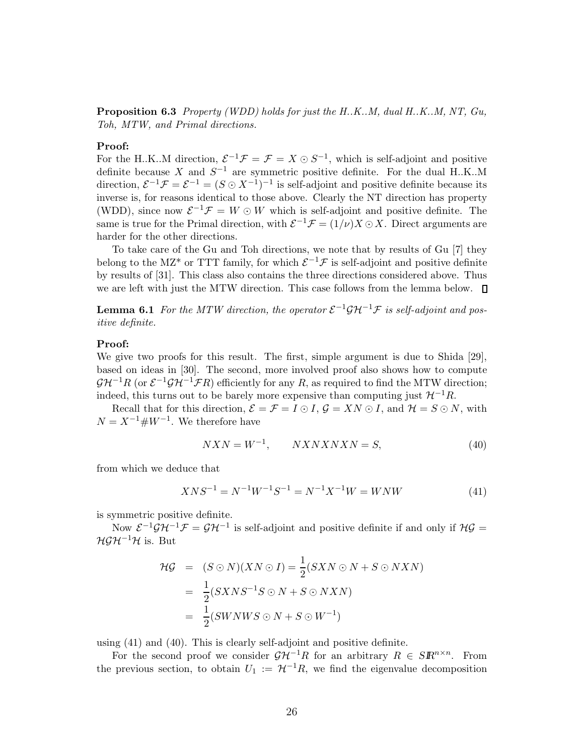Proposition 6.3 Property (WDD) holds for just the H.K..M, dual H.K..M, NT, Gu, Toh, MTW, and Primal directions.

#### Proof:

For the H.K..M direction,  $\mathcal{E}^{-1}\mathcal{F} = \mathcal{F} = X \odot S^{-1}$ , which is self-adjoint and positive definite because X and  $S^{-1}$  are symmetric positive definite. For the dual H.K.M direction,  $\mathcal{E}^{-1}\mathcal{F}=\mathcal{E}^{-1}=(S\odot X^{-1})^{-1}$  is self-adjoint and positive definite because its inverse is, for reasons identical to those above. Clearly the NT direction has property (WDD), since now  $\mathcal{E}^{-1}\mathcal{F}=W\odot W$  which is self-adjoint and positive definite. The same is true for the Primal direction, with  $\mathcal{E}^{-1}\mathcal{F} = (1/\nu)X \odot X$ . Direct arguments are harder for the other directions.

To take care of the Gu and Toh directions, we note that by results of Gu [7] they belong to the MZ<sup>\*</sup> or TTT family, for which  $\mathcal{E}^{-1}\mathcal{F}$  is self-adjoint and positive definite by results of [31]. This class also contains the three directions considered above. Thus we are left with just the MTW direction. This case follows from the lemma below.  $\square$ 

**Lemma 6.1** For the MTW direction, the operator  $\mathcal{E}^{-1}\mathcal{GH}^{-1}\mathcal{F}$  is self-adjoint and positive definite.

#### Proof:

We give two proofs for this result. The first, simple argument is due to Shida [29], based on ideas in [30]. The second, more involved proof also shows how to compute  $\mathcal{GH}^{-1}R$  (or  $\mathcal{E}^{-1}\mathcal{GH}^{-1}\mathcal{FR}$ ) efficiently for any R, as required to find the MTW direction; indeed, this turns out to be barely more expensive than computing just  $\mathcal{H}^{-1}R$ .

Recall that for this direction,  $\mathcal{E} = \mathcal{F} = I \odot I$ ,  $\mathcal{G} = XN \odot I$ , and  $\mathcal{H} = S \odot N$ , with  $N = X^{-1} \# W^{-1}$ . We therefore have

$$
NXN = W^{-1}, \qquad NXNXNN = S,\tag{40}
$$

from which we deduce that

$$
XNS^{-1} = N^{-1}W^{-1}S^{-1} = N^{-1}X^{-1}W = WNW
$$
\n<sup>(41)</sup>

is symmetric positive definite.

Now  $\mathcal{E}^{-1}\mathcal{G}\mathcal{H}^{-1}\mathcal{F}=\mathcal{G}\mathcal{H}^{-1}$  is self-adjoint and positive definite if and only if  $\mathcal{H}\mathcal{G}$  $HGH^{-1}H$  is. But

$$
\mathcal{HG} = (S \odot N)(XN \odot I) = \frac{1}{2}(S X N \odot N + S \odot N X N)
$$
  
= 
$$
\frac{1}{2}(S X N S^{-1} S \odot N + S \odot N X N)
$$
  
= 
$$
\frac{1}{2}(S W N W S \odot N + S \odot W^{-1})
$$

using (41) and (40). This is clearly self-adjoint and positive definite.

For the second proof we consider  $\mathcal{GH}^{-1}R$  for an arbitrary  $R \in SR^{n \times n}$ . From the previous section, to obtain  $U_1 := \mathcal{H}^{-1}R$ , we find the eigenvalue decomposition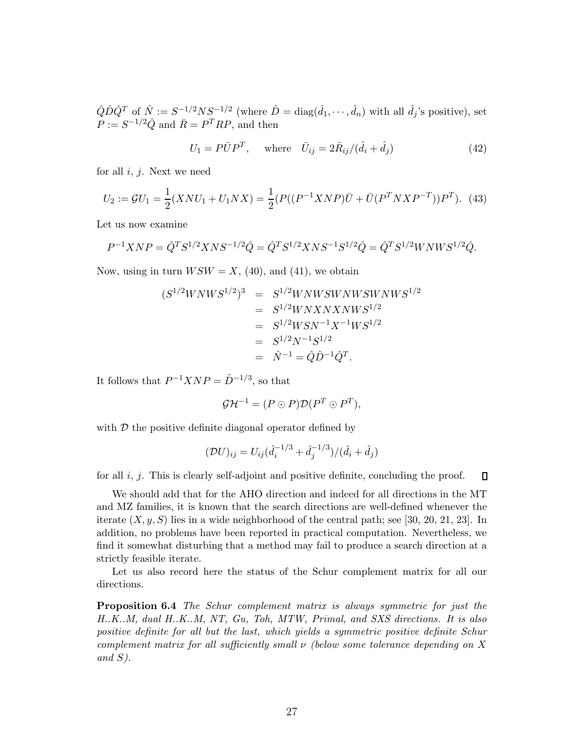$\hat{Q}\hat{D}\hat{Q}^T$  of  $\hat{N} := S^{-1/2}NS^{-1/2}$  (where  $\hat{D} = \text{diag}(\hat{d}_1, \dots, \hat{d}_n)$  with all  $\hat{d}_j$ 's positive), set  $P := S^{-1/2} \hat{Q}$  and  $\bar{R} = P^T R P$ , and then

$$
U_1 = P\bar{U}P^T, \quad \text{where} \quad \bar{U}_{ij} = 2\bar{R}_{ij}/(\hat{d}_i + \hat{d}_j) \tag{42}
$$

for all  $i, j$ . Next we need

$$
U_2 := \mathcal{G}U_1 = \frac{1}{2}(XNU_1 + U_1NX) = \frac{1}{2}(P((P^{-1}XNP)\bar{U} + \bar{U}(P^TNXP^{-T}))P^T). \tag{43}
$$

Let us now examine

$$
P^{-1}XNP = \hat{Q}^T S^{1/2} XNS^{-1/2} \hat{Q} = \hat{Q}^T S^{1/2} XNS^{-1} S^{1/2} \hat{Q} = \hat{Q}^T S^{1/2} WNN S^{1/2} \hat{Q}.
$$

Now, using in turn  $WSW = X$ , (40), and (41), we obtain

$$
(S^{1/2}WNWS^{1/2})^3 = S^{1/2}WNWSWNWSWNWS^{1/2}
$$
  
=  $S^{1/2}WNXNXNNS^{1/2}$   
=  $S^{1/2}WSN^{-1}X^{-1}WS^{1/2}$   
=  $S^{1/2}N^{-1}S^{1/2}$   
=  $\hat{N}^{-1} = \hat{Q}\hat{D}^{-1}\hat{Q}^{T}$ .

It follows that  $P^{-1}XNP = \hat{D}^{-1/3}$ , so that

$$
\mathcal{GH}^{-1} = (P \odot P)\mathcal{D}(P^T \odot P^T),
$$

with  $D$  the positive definite diagonal operator defined by

$$
(\mathcal{D}U)_{ij} = U_{ij}(\hat{d}_i^{-1/3} + \hat{d}_j^{-1/3})/(\hat{d}_i + \hat{d}_j)
$$

for all  $i, j$ . This is clearly self-adjoint and positive definite, concluding the proof.  $\Box$ 

We should add that for the AHO direction and indeed for all directions in the MT and MZ families, it is known that the search directions are well-defined whenever the iterate  $(X, y, S)$  lies in a wide neighborhood of the central path; see [30, 20, 21, 23]. In addition, no problems have been reported in practical computation. Nevertheless, we find it somewhat disturbing that a method may fail to produce a search direction at a strictly feasible iterate.

Let us also record here the status of the Schur complement matrix for all our directions.

Proposition 6.4 The Schur complement matrix is always symmetric for just the H..K..M, dual H..K..M, NT, Gu, Toh, MTW, Primal, and SXS directions. It is also positive definite for all but the last, which yields a symmetric positive definite Schur complement matrix for all sufficiently small  $\nu$  (below some tolerance depending on X and  $S$ ).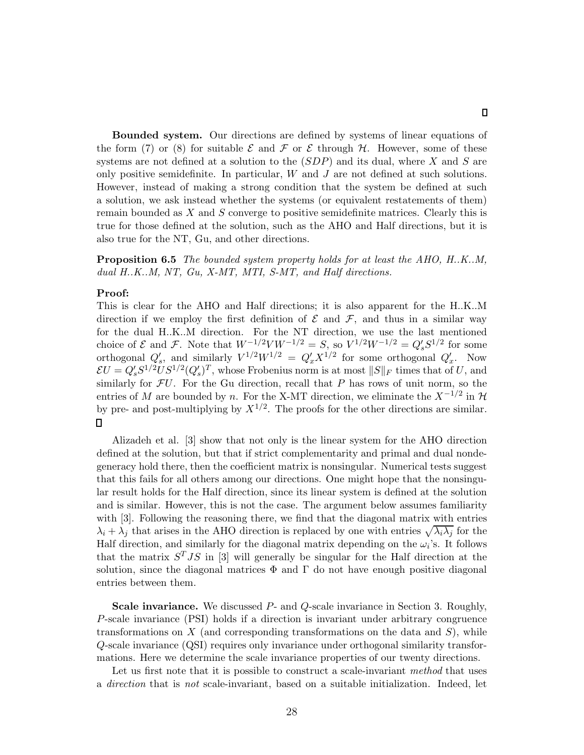Bounded system. Our directions are defined by systems of linear equations of the form (7) or (8) for suitable  $\mathcal E$  and  $\mathcal F$  or  $\mathcal E$  through  $\mathcal H$ . However, some of these systems are not defined at a solution to the  $(SDP)$  and its dual, where X and S are only positive semidefinite. In particular,  $W$  and  $J$  are not defined at such solutions. However, instead of making a strong condition that the system be defined at such a solution, we ask instead whether the systems (or equivalent restatements of them) remain bounded as  $X$  and  $S$  converge to positive semidefinite matrices. Clearly this is true for those defined at the solution, such as the AHO and Half directions, but it is also true for the NT, Gu, and other directions.

**Proposition 6.5** The bounded system property holds for at least the AHO, H.K.M, dual H.K..M, NT, Gu, X-MT, MTI, S-MT, and Half directions.

#### Proof:

This is clear for the AHO and Half directions; it is also apparent for the H..K..M direction if we employ the first definition of  $\mathcal E$  and  $\mathcal F$ , and thus in a similar way for the dual H..K..M direction. For the NT direction, we use the last mentioned choice of  $\mathcal E$  and  $\mathcal F$ . Note that  $W^{-1/2}VW^{-1/2} = S$ , so  $V^{1/2}W^{-1/2} = Q_s'S^{1/2}$  for some orthogonal  $Q'_s$ , and similarly  $V^{1/2}W^{1/2} = Q'_xX^{1/2}$  for some orthogonal  $Q'_x$ . Now  $\mathcal{E}U = Q_s'S^{1/2}US^{1/2}(Q_s')^T$ , whose Frobenius norm is at most  $||S||_F$  times that of U, and similarly for  $FU$ . For the Gu direction, recall that P has rows of unit norm, so the entries of M are bounded by n. For the X-MT direction, we eliminate the  $X^{-1/2}$  in  $\mathcal{H}$ by pre- and post-multiplying by  $X^{1/2}$ . The proofs for the other directions are similar.  $\Box$ 

Alizadeh et al. [3] show that not only is the linear system for the AHO direction defined at the solution, but that if strict complementarity and primal and dual nondegeneracy hold there, then the coefficient matrix is nonsingular. Numerical tests suggest that this fails for all others among our directions. One might hope that the nonsingular result holds for the Half direction, since its linear system is defined at the solution and is similar. However, this is not the case. The argument below assumes familiarity with [3]. Following the reasoning there, we find that the diagonal matrix with entries  $\lambda_i + \lambda_j$  that arises in the AHO direction is replaced by one with entries  $\sqrt{\lambda_i \lambda_j}$  for the Half direction, and similarly for the diagonal matrix depending on the  $\omega_i$ 's. It follows that the matrix  $S<sup>T</sup>JS$  in [3] will generally be singular for the Half direction at the solution, since the diagonal matrices  $\Phi$  and  $\Gamma$  do not have enough positive diagonal entries between them.

Scale invariance. We discussed P- and Q-scale invariance in Section 3. Roughly, P-scale invariance (PSI) holds if a direction is invariant under arbitrary congruence transformations on X (and corresponding transformations on the data and  $S$ ), while Q-scale invariance (QSI) requires only invariance under orthogonal similarity transformations. Here we determine the scale invariance properties of our twenty directions.

Let us first note that it is possible to construct a scale-invariant method that uses a direction that is not scale-invariant, based on a suitable initialization. Indeed, let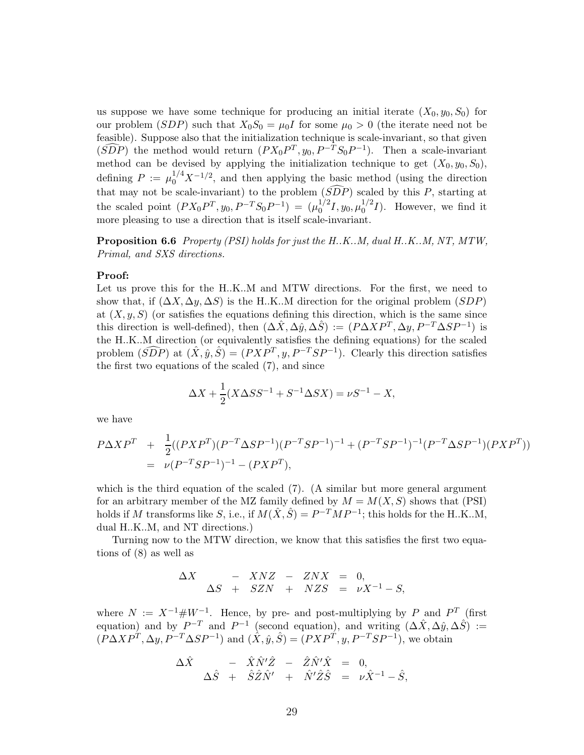us suppose we have some technique for producing an initial iterate  $(X_0, y_0, S_0)$  for our problem (SDP) such that  $X_0S_0 = \mu_0I$  for some  $\mu_0 > 0$  (the iterate need not be feasible). Suppose also that the initialization technique is scale-invariant, so that given  $(\widehat{SDP})$  the method would return  $(PX_0P^T, y_0, P^{-T}S_0P^{-1})$ . Then a scale-invariant method can be devised by applying the initialization technique to get  $(X_0, y_0, S_0)$ , defining  $P := \mu_0^{1/4} X^{-1/2}$ , and then applying the basic method (using the direction that may not be scale-invariant) to the problem  $(\widehat{SDP})$  scaled by this P, starting at the scaled point  $(PX_0P^T, y_0, P^{-T}S_0P^{-1}) = (\mu_0^{1/2}I, y_0, \mu_0^{1/2}I)$ . However, we find it more pleasing to use a direction that is itself scale-invariant.

Proposition 6.6 *Property (PSI) holds for just the H.K.M, dual H.K.M, NT, MTW,* Primal, and SXS directions.

#### Proof:

Let us prove this for the H..K..M and MTW directions. For the first, we need to show that, if  $(\Delta X, \Delta y, \Delta S)$  is the H.K..M direction for the original problem  $(SDP)$ at  $(X, y, S)$  (or satisfies the equations defining this direction, which is the same since this direction is well-defined), then  $(\Delta \hat{X}, \Delta \hat{y}, \Delta \hat{S}) := (P \Delta X P^{T}, \Delta y, P^{-T} \Delta S P^{-1})$  is the H..K..M direction (or equivalently satisfies the defining equations) for the scaled problem  $(\widehat{SDP})$  at  $(\hat{X}, \hat{y}, \hat{S}) = (P X P^{T}, y, P^{-T} S P^{-1})$ . Clearly this direction satisfies the first two equations of the scaled (7), and since

$$
\Delta X + \frac{1}{2}(X\Delta SS^{-1} + S^{-1}\Delta SX) = \nu S^{-1} - X,
$$

we have

$$
P\Delta XP^T + \frac{1}{2}((PXP^T)(P^{-T}\Delta SP^{-1})(P^{-T}SP^{-1})^{-1} + (P^{-T}SP^{-1})^{-1}(P^{-T}\Delta SP^{-1})(PXP^T))
$$
  
=  $\nu(P^{-T}SP^{-1})^{-1} - (PXP^T),$ 

which is the third equation of the scaled (7). (A similar but more general argument for an arbitrary member of the MZ family defined by  $M = M(X, S)$  shows that (PSI) holds if M transforms like S, i.e., if  $M(\hat{X}, \hat{S}) = P^{-T}MP^{-1}$ ; this holds for the H.K.M, dual H..K..M, and NT directions.)

Turning now to the MTW direction, we know that this satisfies the first two equations of (8) as well as

$$
\begin{array}{rcl}\n\Delta X & - & XNZ & - & ZNX & = & 0, \\
\Delta S & + & SZN & + & NZS & = & \nu X^{-1} - S,\n\end{array}
$$

where  $N := X^{-1} \# W^{-1}$ . Hence, by pre- and post-multiplying by P and  $P^T$  (first equation) and by  $P^{-T}$  and  $P^{-1}$  (second equation), and writing  $(\Delta \hat{X}, \Delta \hat{y}, \Delta \hat{S})$  :=  $(\hat{P}\Delta X P^T, \Delta y, P^{-T}\Delta SP^{-1})$  and  $(\hat{X}, \hat{y}, \hat{S}) = (P X P^T, y, P^{-T} S P^{-1})$ , we obtain

$$
\begin{array}{rcl}\n\Delta \hat{X} & - & \hat{X} \hat{N}' \hat{Z} & - & \hat{Z} \hat{N}' \hat{X} & = & 0, \\
\Delta \hat{S} & + & \hat{S} \hat{Z} \hat{N}' & + & \hat{N}' \hat{Z} \hat{S} & = & \nu \hat{X}^{-1} - \hat{S},\n\end{array}
$$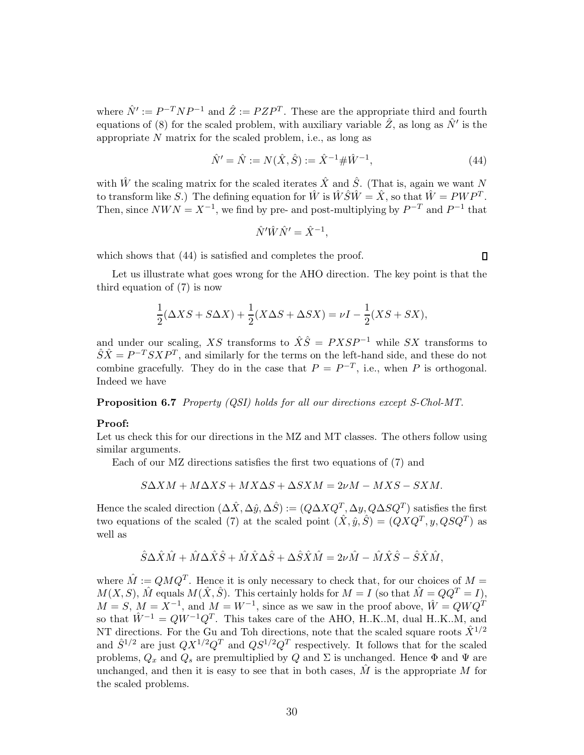where  $\hat{N}' := P^{-T} N P^{-1}$  and  $\hat{Z} := P Z P^{T}$ . These are the appropriate third and fourth equations of (8) for the scaled problem, with auxiliary variable  $\hat{Z}$ , as long as  $\hat{N}'$  is the appropriate  $N$  matrix for the scaled problem, i.e., as long as

$$
\hat{N}' = \hat{N} := N(\hat{X}, \hat{S}) := \hat{X}^{-1} \# \hat{W}^{-1},\tag{44}
$$

 $\Box$ 

with  $\hat{W}$  the scaling matrix for the scaled iterates  $\hat{X}$  and  $\hat{S}$ . (That is, again we want N to transform like S.) The defining equation for  $\hat{W}$  is  $\hat{W}\hat{S}\hat{W} = \hat{X}$ , so that  $\hat{W} = PWP^T$ . Then, since  $NWN = X^{-1}$ , we find by pre- and post-multiplying by  $P^{-T}$  and  $P^{-1}$  that

$$
\hat{N}'\hat{W}\hat{N}' = \hat{X}^{-1},
$$

which shows that  $(44)$  is satisfied and completes the proof.

Let us illustrate what goes wrong for the AHO direction. The key point is that the third equation of (7) is now

$$
\frac{1}{2}(\Delta X S + S \Delta X) + \frac{1}{2}(X \Delta S + \Delta S X) = \nu I - \frac{1}{2}(X S + S X),
$$

and under our scaling, XS transforms to  $\hat{X}\hat{S} = PXSP^{-1}$  while SX transforms to  $\hat{S}\hat{X} = P^{-T}SXP^{T}$ , and similarly for the terms on the left-hand side, and these do not combine gracefully. They do in the case that  $P = P^{-T}$ , i.e., when P is orthogonal. Indeed we have

Proposition 6.7 Property (QSI) holds for all our directions except S-Chol-MT.

#### Proof:

Let us check this for our directions in the MZ and MT classes. The others follow using similar arguments.

Each of our MZ directions satisfies the first two equations of (7) and

$$
S\Delta XM + M\Delta XS + MX\Delta S + \Delta SXM = 2\nu M - MXS - SXM.
$$

Hence the scaled direction  $(\Delta \hat{X}, \Delta \hat{y}, \Delta \hat{S}) := (Q \Delta X Q^T, \Delta y, Q \Delta S Q^T)$  satisfies the first two equations of the scaled (7) at the scaled point  $(\hat{X}, \hat{y}, \hat{S}) = (QXQ^T, y, QSQ^T)$  as well as

$$
\hat{S}\Delta\hat{X}\hat{M} + \hat{M}\Delta\hat{X}\hat{S} + \hat{M}\hat{X}\Delta\hat{S} + \Delta\hat{S}\hat{X}\hat{M} = 2\nu\hat{M} - \hat{M}\hat{X}\hat{S} - \hat{S}\hat{X}\hat{M},
$$

where  $\hat{M} := QMQ^T$ . Hence it is only necessary to check that, for our choices of  $M =$  $M(X, S)$ ,  $\hat{M}$  equals  $M(\hat{X}, \hat{S})$ . This certainly holds for  $M = I$  (so that  $\hat{M} = QQ^T = I$ ),  $M = S, M = X^{-1}$ , and  $M = W^{-1}$ , since as we saw in the proof above,  $\hat{W} = QWQ^{T}$ so that  $\hat{W}^{-1} = QW^{-1}Q^{T}$ . This takes care of the AHO, H.K..M, dual H.K..M, and NT directions. For the Gu and Toh directions, note that the scaled square roots  $\hat{X}^{1/2}$ and  $\hat{S}^{1/2}$  are just  $QX^{1/2}Q^T$  and  $QS^{1/2}Q^T$  respectively. It follows that for the scaled problems,  $Q_x$  and  $Q_s$  are premultiplied by Q and  $\Sigma$  is unchanged. Hence  $\Phi$  and  $\Psi$  are unchanged, and then it is easy to see that in both cases,  $\hat{M}$  is the appropriate M for the scaled problems.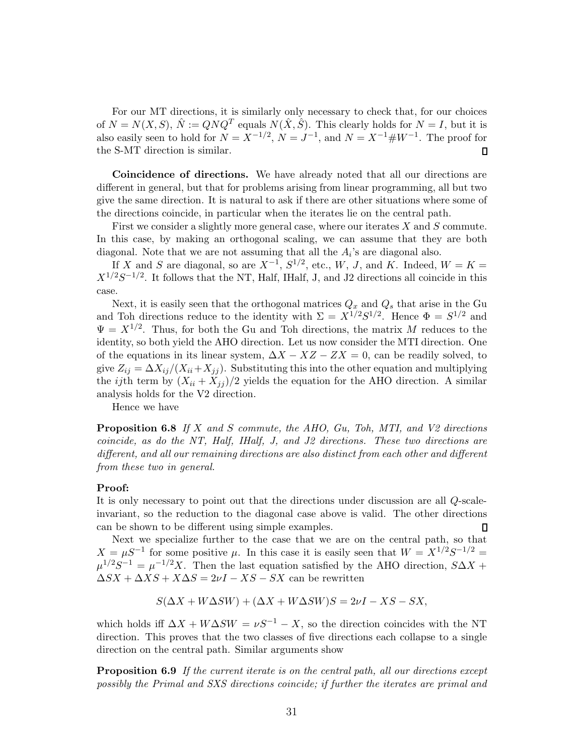For our MT directions, it is similarly only necessary to check that, for our choices of  $N = N(X, S)$ ,  $\hat{N} := QNQ^{T}$  equals  $N(\hat{X}, \hat{S})$ . This clearly holds for  $N = I$ , but it is also easily seen to hold for  $N = X^{-1/2}$ ,  $N = J^{-1}$ , and  $N = X^{-1} \# W^{-1}$ . The proof for the S-MT direction is similar. П

Coincidence of directions. We have already noted that all our directions are different in general, but that for problems arising from linear programming, all but two give the same direction. It is natural to ask if there are other situations where some of the directions coincide, in particular when the iterates lie on the central path.

First we consider a slightly more general case, where our iterates X and S commute. In this case, by making an orthogonal scaling, we can assume that they are both diagonal. Note that we are not assuming that all the  $A_i$ 's are diagonal also.

If X and S are diagonal, so are  $X^{-1}$ ,  $S^{1/2}$ , etc., W, J, and K. Indeed,  $W = K =$  $X^{1/2}S^{-1/2}$ . It follows that the NT, Half, IHalf, J, and J2 directions all coincide in this case.

Next, it is easily seen that the orthogonal matrices  $Q_x$  and  $Q_s$  that arise in the Gu and Toh directions reduce to the identity with  $\Sigma = X^{1/2}S^{1/2}$ . Hence  $\Phi = S^{1/2}$  and  $\Psi = X^{1/2}$ . Thus, for both the Gu and Toh directions, the matrix M reduces to the identity, so both yield the AHO direction. Let us now consider the MTI direction. One of the equations in its linear system,  $\Delta X - XZ - ZX = 0$ , can be readily solved, to give  $Z_{ij} = \Delta X_{ij}/(X_{ii}+X_{jj})$ . Substituting this into the other equation and multiplying the *ij*th term by  $(X_{ii} + X_{jj})/2$  yields the equation for the AHO direction. A similar analysis holds for the V2 direction.

Hence we have

**Proposition 6.8** If X and S commute, the AHO, Gu, Toh, MTI, and V2 directions coincide, as do the NT, Half, IHalf, J, and J2 directions. These two directions are different, and all our remaining directions are also distinct from each other and different from these two in general.

#### Proof:

It is only necessary to point out that the directions under discussion are all Q-scaleinvariant, so the reduction to the diagonal case above is valid. The other directions can be shown to be different using simple examples. П

Next we specialize further to the case that we are on the central path, so that  $X = \mu S^{-1}$  for some positive  $\mu$ . In this case it is easily seen that  $W = X^{1/2}S^{-1/2}$  $\mu^{1/2}S^{-1} = \mu^{-1/2}X$ . Then the last equation satisfied by the AHO direction,  $S\Delta X +$  $\Delta SX + \Delta XS + X\Delta S = 2\nu I - XS - SX$  can be rewritten

$$
S(\Delta X + W\Delta SW) + (\Delta X + W\Delta SW)S = 2\nu I - XS - SX,
$$

which holds iff  $\Delta X + W \Delta SW = \nu S^{-1} - X$ , so the direction coincides with the NT direction. This proves that the two classes of five directions each collapse to a single direction on the central path. Similar arguments show

Proposition 6.9 If the current iterate is on the central path, all our directions except possibly the Primal and SXS directions coincide; if further the iterates are primal and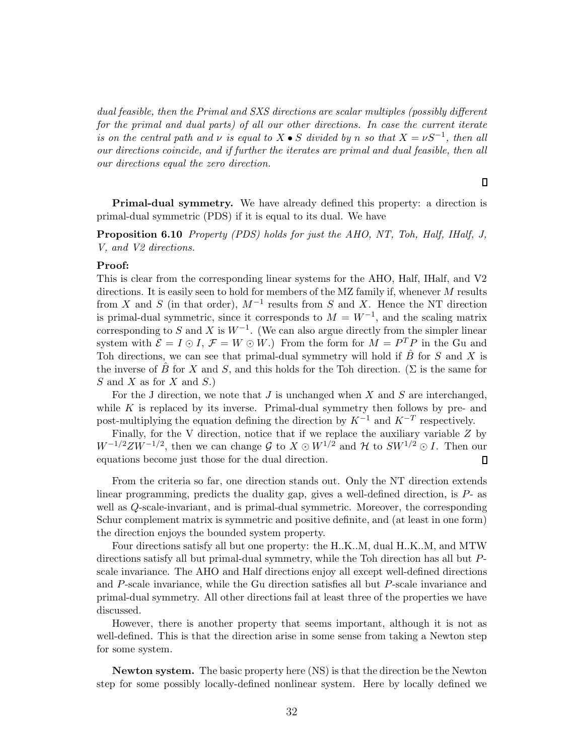dual feasible, then the Primal and SXS directions are scalar multiples (possibly different for the primal and dual parts) of all our other directions. In case the current iterate is on the central path and  $\nu$  is equal to  $X \bullet S$  divided by n so that  $X = \nu S^{-1}$ , then all our directions coincide, and if further the iterates are primal and dual feasible, then all our directions equal the zero direction.

 $\Box$ 

Primal-dual symmetry. We have already defined this property: a direction is primal-dual symmetric (PDS) if it is equal to its dual. We have

Proposition 6.10 Property (PDS) holds for just the AHO, NT, Toh, Half, IHalf, J, V, and V2 directions.

#### Proof:

This is clear from the corresponding linear systems for the AHO, Half, IHalf, and V2 directions. It is easily seen to hold for members of the MZ family if, whenever M results from X and S (in that order),  $M^{-1}$  results from S and X. Hence the NT direction is primal-dual symmetric, since it corresponds to  $M = W^{-1}$ , and the scaling matrix corresponding to S and X is  $W^{-1}$ . (We can also argue directly from the simpler linear system with  $\mathcal{E} = I \odot I$ ,  $\mathcal{F} = W \odot W$ .) From the form for  $M = P^{T} P$  in the Gu and Toh directions, we can see that primal-dual symmetry will hold if  $\hat{B}$  for S and X is the inverse of B for X and S, and this holds for the Toh direction. ( $\Sigma$  is the same for  $S$  and  $X$  as for  $X$  and  $S$ .)

For the J direction, we note that  $J$  is unchanged when  $X$  and  $S$  are interchanged, while K is replaced by its inverse. Primal-dual symmetry then follows by pre- and post-multiplying the equation defining the direction by  $K^{-1}$  and  $K^{-T}$  respectively.

Finally, for the V direction, notice that if we replace the auxiliary variable Z by  $W^{-1/2}ZW^{-1/2}$ , then we can change G to  $X \odot W^{1/2}$  and H to  $SW^{1/2} \odot I$ . Then our equations become just those for the dual direction.

From the criteria so far, one direction stands out. Only the NT direction extends linear programming, predicts the duality gap, gives a well-defined direction, is P- as well as Q-scale-invariant, and is primal-dual symmetric. Moreover, the corresponding Schur complement matrix is symmetric and positive definite, and (at least in one form) the direction enjoys the bounded system property.

Four directions satisfy all but one property: the H..K..M, dual H..K..M, and MTW directions satisfy all but primal-dual symmetry, while the Toh direction has all but Pscale invariance. The AHO and Half directions enjoy all except well-defined directions and P-scale invariance, while the Gu direction satisfies all but P-scale invariance and primal-dual symmetry. All other directions fail at least three of the properties we have discussed.

However, there is another property that seems important, although it is not as well-defined. This is that the direction arise in some sense from taking a Newton step for some system.

Newton system. The basic property here (NS) is that the direction be the Newton step for some possibly locally-defined nonlinear system. Here by locally defined we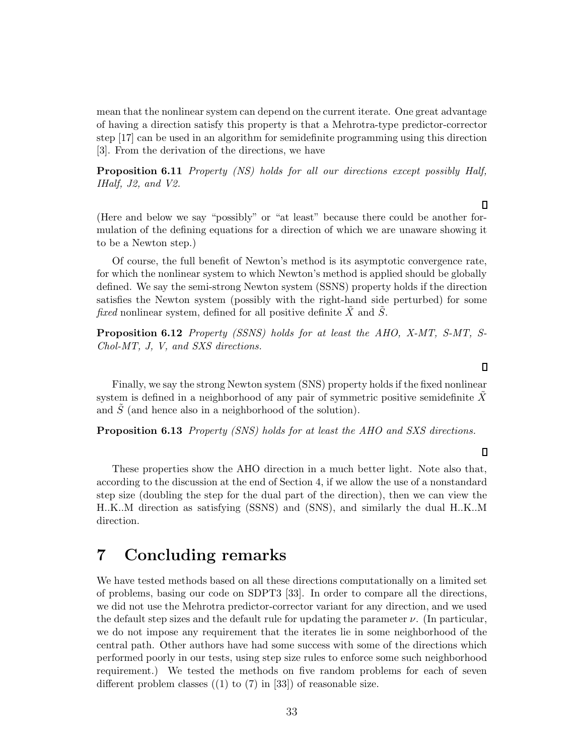mean that the nonlinear system can depend on the current iterate. One great advantage of having a direction satisfy this property is that a Mehrotra-type predictor-corrector step [17] can be used in an algorithm for semidefinite programming using this direction [3]. From the derivation of the directions, we have

Proposition 6.11 Property (NS) holds for all our directions except possibly Half, IHalf, J2, and V2.

(Here and below we say "possibly" or "at least" because there could be another formulation of the defining equations for a direction of which we are unaware showing it to be a Newton step.)

Of course, the full benefit of Newton's method is its asymptotic convergence rate, for which the nonlinear system to which Newton's method is applied should be globally defined. We say the semi-strong Newton system (SSNS) property holds if the direction satisfies the Newton system (possibly with the right-hand side perturbed) for some fixed nonlinear system, defined for all positive definite  $\overline{X}$  and  $\overline{S}$ .

**Proposition 6.12** Property (SSNS) holds for at least the AHO, X-MT, S-MT, S-Chol-MT, J, V, and SXS directions.

Finally, we say the strong Newton system (SNS) property holds if the fixed nonlinear system is defined in a neighborhood of any pair of symmetric positive semidefinite  $X$ and  $\tilde{S}$  (and hence also in a neighborhood of the solution).

Proposition 6.13 Property (SNS) holds for at least the AHO and SXS directions.

These properties show the AHO direction in a much better light. Note also that, according to the discussion at the end of Section 4, if we allow the use of a nonstandard step size (doubling the step for the dual part of the direction), then we can view the H..K..M direction as satisfying (SSNS) and (SNS), and similarly the dual H..K..M direction.

### 7 Concluding remarks

We have tested methods based on all these directions computationally on a limited set of problems, basing our code on SDPT3 [33]. In order to compare all the directions, we did not use the Mehrotra predictor-corrector variant for any direction, and we used the default step sizes and the default rule for updating the parameter  $\nu$ . (In particular, we do not impose any requirement that the iterates lie in some neighborhood of the central path. Other authors have had some success with some of the directions which performed poorly in our tests, using step size rules to enforce some such neighborhood requirement.) We tested the methods on five random problems for each of seven different problem classes  $(1)$  to  $(7)$  in [33]) of reasonable size.

#### $\Box$

 $\Box$ 

#### $\Box$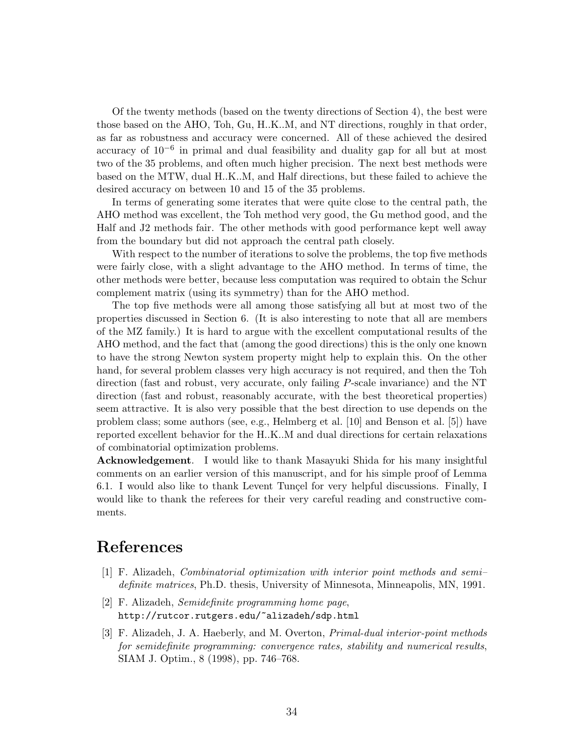Of the twenty methods (based on the twenty directions of Section 4), the best were those based on the AHO, Toh, Gu, H..K..M, and NT directions, roughly in that order, as far as robustness and accuracy were concerned. All of these achieved the desired accuracy of 10−<sup>6</sup> in primal and dual feasibility and duality gap for all but at most two of the 35 problems, and often much higher precision. The next best methods were based on the MTW, dual H..K..M, and Half directions, but these failed to achieve the desired accuracy on between 10 and 15 of the 35 problems.

In terms of generating some iterates that were quite close to the central path, the AHO method was excellent, the Toh method very good, the Gu method good, and the Half and J2 methods fair. The other methods with good performance kept well away from the boundary but did not approach the central path closely.

With respect to the number of iterations to solve the problems, the top five methods were fairly close, with a slight advantage to the AHO method. In terms of time, the other methods were better, because less computation was required to obtain the Schur complement matrix (using its symmetry) than for the AHO method.

The top five methods were all among those satisfying all but at most two of the properties discussed in Section 6. (It is also interesting to note that all are members of the MZ family.) It is hard to argue with the excellent computational results of the AHO method, and the fact that (among the good directions) this is the only one known to have the strong Newton system property might help to explain this. On the other hand, for several problem classes very high accuracy is not required, and then the Toh direction (fast and robust, very accurate, only failing P-scale invariance) and the NT direction (fast and robust, reasonably accurate, with the best theoretical properties) seem attractive. It is also very possible that the best direction to use depends on the problem class; some authors (see, e.g., Helmberg et al. [10] and Benson et al. [5]) have reported excellent behavior for the H..K..M and dual directions for certain relaxations of combinatorial optimization problems.

Acknowledgement. I would like to thank Masayuki Shida for his many insightful comments on an earlier version of this manuscript, and for his simple proof of Lemma 6.1. I would also like to thank Levent Tunçel for very helpful discussions. Finally, I would like to thank the referees for their very careful reading and constructive comments.

### References

- [1] F. Alizadeh, Combinatorial optimization with interior point methods and semi– definite matrices, Ph.D. thesis, University of Minnesota, Minneapolis, MN, 1991.
- [2] F. Alizadeh, Semidefinite programming home page, http://rutcor.rutgers.edu/~alizadeh/sdp.html
- [3] F. Alizadeh, J. A. Haeberly, and M. Overton, Primal-dual interior-point methods for semidefinite programming: convergence rates, stability and numerical results, SIAM J. Optim., 8 (1998), pp. 746–768.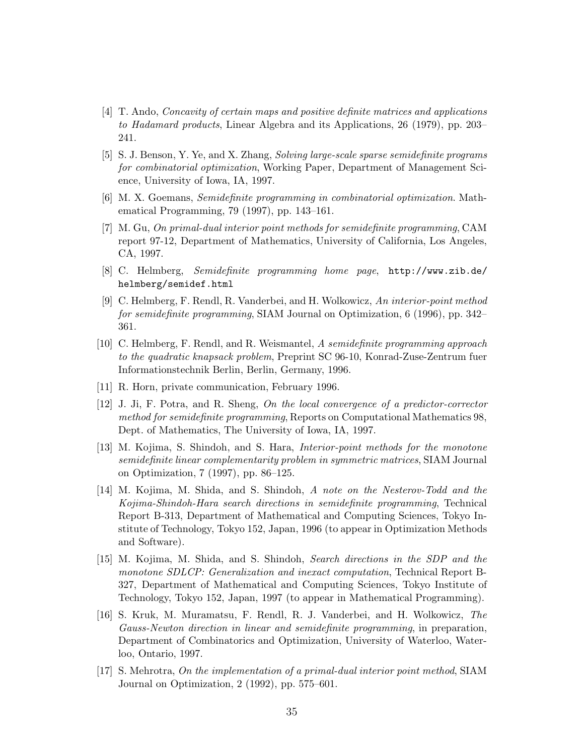- [4] T. Ando, Concavity of certain maps and positive definite matrices and applications to Hadamard products, Linear Algebra and its Applications, 26 (1979), pp. 203– 241.
- [5] S. J. Benson, Y. Ye, and X. Zhang, Solving large-scale sparse semidefinite programs for combinatorial optimization, Working Paper, Department of Management Science, University of Iowa, IA, 1997.
- [6] M. X. Goemans, Semidefinite programming in combinatorial optimization. Mathematical Programming, 79 (1997), pp. 143–161.
- [7] M. Gu, On primal-dual interior point methods for semidefinite programming, CAM report 97-12, Department of Mathematics, University of California, Los Angeles, CA, 1997.
- [8] C. Helmberg, Semidefinite programming home page, http://www.zib.de/ helmberg/semidef.html
- [9] C. Helmberg, F. Rendl, R. Vanderbei, and H. Wolkowicz, An interior-point method for semidefinite programming, SIAM Journal on Optimization, 6 (1996), pp. 342– 361.
- [10] C. Helmberg, F. Rendl, and R. Weismantel, A semidefinite programming approach to the quadratic knapsack problem, Preprint SC 96-10, Konrad-Zuse-Zentrum fuer Informationstechnik Berlin, Berlin, Germany, 1996.
- [11] R. Horn, private communication, February 1996.
- [12] J. Ji, F. Potra, and R. Sheng, On the local convergence of a predictor-corrector method for semidefinite programming, Reports on Computational Mathematics 98, Dept. of Mathematics, The University of Iowa, IA, 1997.
- [13] M. Kojima, S. Shindoh, and S. Hara, Interior-point methods for the monotone semidefinite linear complementarity problem in symmetric matrices, SIAM Journal on Optimization, 7 (1997), pp. 86–125.
- [14] M. Kojima, M. Shida, and S. Shindoh, A note on the Nesterov-Todd and the Kojima-Shindoh-Hara search directions in semidefinite programming, Technical Report B-313, Department of Mathematical and Computing Sciences, Tokyo Institute of Technology, Tokyo 152, Japan, 1996 (to appear in Optimization Methods and Software).
- [15] M. Kojima, M. Shida, and S. Shindoh, Search directions in the SDP and the monotone SDLCP: Generalization and inexact computation, Technical Report B-327, Department of Mathematical and Computing Sciences, Tokyo Institute of Technology, Tokyo 152, Japan, 1997 (to appear in Mathematical Programming).
- [16] S. Kruk, M. Muramatsu, F. Rendl, R. J. Vanderbei, and H. Wolkowicz, The Gauss-Newton direction in linear and semidefinite programming, in preparation, Department of Combinatorics and Optimization, University of Waterloo, Waterloo, Ontario, 1997.
- [17] S. Mehrotra, On the implementation of a primal-dual interior point method, SIAM Journal on Optimization, 2 (1992), pp. 575–601.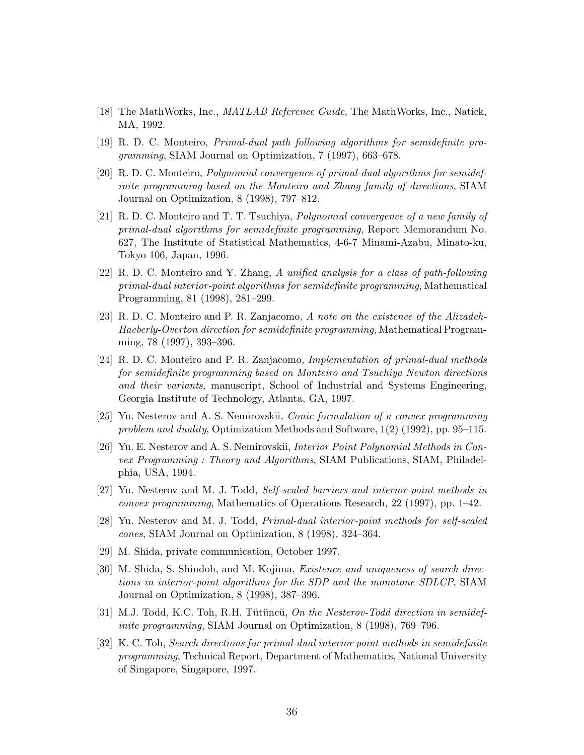- [18] The MathWorks, Inc., *MATLAB Reference Guide*, The MathWorks, Inc., Natick, MA, 1992.
- [19] R. D. C. Monteiro, Primal-dual path following algorithms for semidefinite programming, SIAM Journal on Optimization, 7 (1997), 663–678.
- [20] R. D. C. Monteiro, Polynomial convergence of primal-dual algorithms for semidefinite programming based on the Monteiro and Zhang family of directions, SIAM Journal on Optimization, 8 (1998), 797–812.
- [21] R. D. C. Monteiro and T. T. Tsuchiya, Polynomial convergence of a new family of primal-dual algorithms for semidefinite programming, Report Memorandum No. 627, The Institute of Statistical Mathematics, 4-6-7 Minami-Azabu, Minato-ku, Tokyo 106, Japan, 1996.
- [22] R. D. C. Monteiro and Y. Zhang, A unified analysis for a class of path-following primal-dual interior-point algorithms for semidefinite programming, Mathematical Programming, 81 (1998), 281–299.
- [23] R. D. C. Monteiro and P. R. Zanjacomo, A note on the existence of the Alizadeh-Haeberly-Overton direction for semidefinite programming, Mathematical Programming, 78 (1997), 393–396.
- [24] R. D. C. Monteiro and P. R. Zanjacomo, Implementation of primal-dual methods for semidefinite programming based on Monteiro and Tsuchiya Newton directions and their variants, manuscript, School of Industrial and Systems Engineering, Georgia Institute of Technology, Atlanta, GA, 1997.
- [25] Yu. Nesterov and A. S. Nemirovskii, Conic formulation of a convex programming problem and duality, Optimization Methods and Software,  $1(2)$  (1992), pp. 95–115.
- [26] Yu. E. Nesterov and A. S. Nemirovskii, Interior Point Polynomial Methods in Convex Programming : Theory and Algorithms, SIAM Publications, SIAM, Philadelphia, USA, 1994.
- [27] Yu. Nesterov and M. J. Todd, Self-scaled barriers and interior-point methods in convex programming, Mathematics of Operations Research, 22 (1997), pp. 1–42.
- [28] Yu. Nesterov and M. J. Todd, Primal-dual interior-point methods for self-scaled cones, SIAM Journal on Optimization, 8 (1998), 324–364.
- [29] M. Shida, private communication, October 1997.
- [30] M. Shida, S. Shindoh, and M. Kojima, Existence and uniqueness of search directions in interior-point algorithms for the SDP and the monotone SDLCP, SIAM Journal on Optimization, 8 (1998), 387–396.
- $[31]$  M.J. Todd, K.C. Toh, R.H. Tütüncü, On the Nesterov-Todd direction in semidefinite programming, SIAM Journal on Optimization, 8 (1998), 769–796.
- [32] K. C. Toh, Search directions for primal-dual interior point methods in semidefinite programming, Technical Report, Department of Mathematics, National University of Singapore, Singapore, 1997.